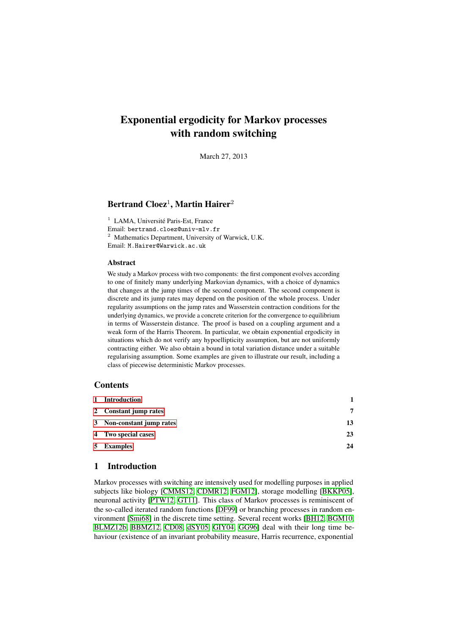# <span id="page-0-1"></span>Exponential ergodicity for Markov processes with random switching

March 27, 2013

## Bertrand  $Cloez^1$ , Martin Hairer<sup>2</sup>

<sup>1</sup> LAMA, Université Paris-Est, France Email: bertrand.cloez@univ-mlv.fr <sup>2</sup> Mathematics Department, University of Warwick, U.K. Email: M.Hairer@Warwick.ac.uk

#### Abstract

We study a Markov process with two components: the first component evolves according to one of finitely many underlying Markovian dynamics, with a choice of dynamics that changes at the jump times of the second component. The second component is discrete and its jump rates may depend on the position of the whole process. Under regularity assumptions on the jump rates and Wasserstein contraction conditions for the underlying dynamics, we provide a concrete criterion for the convergence to equilibrium in terms of Wasserstein distance. The proof is based on a coupling argument and a weak form of the Harris Theorem. In particular, we obtain exponential ergodicity in situations which do not verify any hypoellipticity assumption, but are not uniformly contracting either. We also obtain a bound in total variation distance under a suitable regularising assumption. Some examples are given to illustrate our result, including a class of piecewise deterministic Markov processes.

#### **Contents**

| 1 Introduction            |    |
|---------------------------|----|
| 2 Constant jump rates     | 7  |
| 3 Non-constant jump rates | 13 |
| 4 Two special cases       | 23 |
| 5 Examples                | 24 |
|                           |    |

## <span id="page-0-0"></span>1 Introduction

Markov processes with switching are intensively used for modelling purposes in applied subjects like biology [\[CMMS12,](#page-27-0) [CDMR12,](#page-27-1) [FGM12\]](#page-27-2), storage modelling [\[BKKP05\]](#page-26-0), neuronal activity [\[PTW12,](#page-28-0) [GT11\]](#page-27-3). This class of Markov processes is reminiscent of the so-called iterated random functions [\[DF99\]](#page-27-4) or branching processes in random environment [\[Smi68\]](#page-28-1) in the discrete time setting. Several recent works [\[BH12,](#page-26-1) [BGM10,](#page-26-2) [BLMZ12b,](#page-26-3) [BBMZ12,](#page-26-4) [CD08,](#page-26-5) [dSY05,](#page-27-5) [GIY04,](#page-27-6) [GG96\]](#page-27-7) deal with their long time behaviour (existence of an invariant probability measure, Harris recurrence, exponential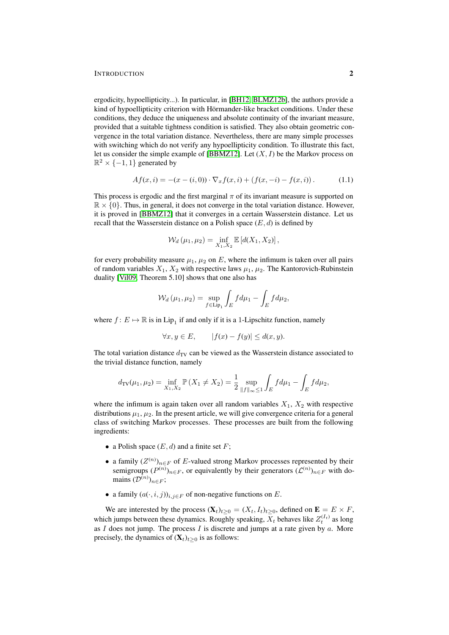ergodicity, hypoellipticity...). In particular, in [\[BH12,](#page-26-1) [BLMZ12b\]](#page-26-3), the authors provide a kind of hypoellipticity criterion with Hörmander-like bracket conditions. Under these conditions, they deduce the uniqueness and absolute continuity of the invariant measure, provided that a suitable tightness condition is satisfied. They also obtain geometric convergence in the total variation distance. Nevertheless, there are many simple processes with switching which do not verify any hypoellipticity condition. To illustrate this fact, let us consider the simple example of [\[BBMZ12\]](#page-26-4). Let  $(X, I)$  be the Markov process on  $\mathbb{R}^2 \times \{-1, 1\}$  generated by

<span id="page-1-0"></span>
$$
Af(x,i) = -(x - (i,0)) \cdot \nabla_x f(x,i) + (f(x, -i) - f(x,i)). \tag{1.1}
$$

This process is ergodic and the first marginal  $\pi$  of its invariant measure is supported on  $\mathbb{R} \times \{0\}$ . Thus, in general, it does not converge in the total variation distance. However, it is proved in [\[BBMZ12\]](#page-26-4) that it converges in a certain Wasserstein distance. Let us recall that the Wasserstein distance on a Polish space  $(E, d)$  is defined by

$$
\mathcal{W}_{d}(\mu_1, \mu_2) = \inf_{X_1, X_2} \mathbb{E}[d(X_1, X_2)],
$$

for every probability measure  $\mu_1$ ,  $\mu_2$  on E, where the infimum is taken over all pairs of random variables  $X_1, X_2$  with respective laws  $\mu_1, \mu_2$ . The Kantorovich-Rubinstein duality [\[Vil09,](#page-28-2) Theorem 5.10] shows that one also has

$$
\mathcal{W}_{d}(\mu_1, \mu_2) = \sup_{f \in \text{Lip}_1} \int_E f d\mu_1 - \int_E f d\mu_2,
$$

where  $f: E \mapsto \mathbb{R}$  is in Lip<sub>1</sub> if and only if it is a 1-Lipschitz function, namely

$$
\forall x, y \in E, \qquad |f(x) - f(y)| \le d(x, y).
$$

The total variation distance  $d_{TV}$  can be viewed as the Wasserstein distance associated to the trivial distance function, namely

$$
d_{\text{TV}}(\mu_1, \mu_2) = \inf_{X_1, X_2} \mathbb{P}\left(X_1 \neq X_2\right) = \frac{1}{2} \sup_{\|f\|_{\infty} \le 1} \int_E f d\mu_1 - \int_E f d\mu_2,
$$

where the infimum is again taken over all random variables  $X_1$ ,  $X_2$  with respective distributions  $\mu_1, \mu_2$ . In the present article, we will give convergence criteria for a general class of switching Markov processes. These processes are built from the following ingredients:

- a Polish space  $(E, d)$  and a finite set F;
- a family  $(Z^{(n)})_{n \in F}$  of E-valued strong Markov processes represented by their semigroups  $(P^{(n)})_{n \in F}$ , or equivalently by their generators  $(\mathcal{L}^{(n)})_{n \in F}$  with domains  $(\mathcal{D}^{(n)})_{n \in F}$ ;
- a family  $(a(\cdot, i, j))_{i,j \in F}$  of non-negative functions on E.

We are interested by the process  $(\mathbf{X}_t)_{t>0} = (X_t, I_t)_{t>0}$ , defined on  $\mathbf{E} = E \times F$ , which jumps between these dynamics. Roughly speaking,  $X_t$  behaves like  $Z_t^{(I_t)}$  as long as  $I$  does not jump. The process  $I$  is discrete and jumps at a rate given by  $a$ . More precisely, the dynamics of  $(X_t)_{t\geq 0}$  is as follows: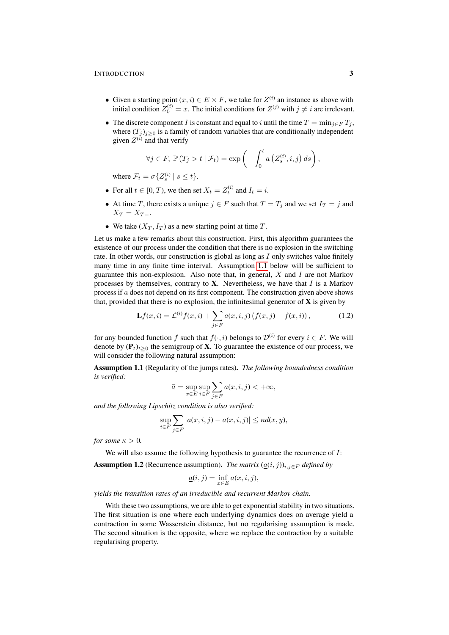- Given a starting point  $(x, i) \in E \times F$ , we take for  $Z^{(i)}$  an instance as above with initial condition  $Z_0^{(i)} = x$ . The initial conditions for  $Z^{(j)}$  with  $j \neq i$  are irrelevant.
- The discrete component *I* is constant and equal to *i* until the time  $T = \min_{j \in F} T_j$ , where  $(T_j)_{j\geq 0}$  is a family of random variables that are conditionally independent given  $Z^{(i)}$  and that verify

$$
\forall j \in F, \, \mathbb{P}\left(T_j > t \mid \mathcal{F}_t\right) = \exp\left(-\int_0^t a\left(Z_s^{(i)}, i, j\right) ds\right),
$$

where  $\mathcal{F}_t = \sigma\{Z_s^{(i)} \mid s \le t\}.$ 

- For all  $t \in [0, T)$ , we then set  $X_t = Z_t^{(i)}$  and  $I_t = i$ .
- At time T, there exists a unique  $j \in F$  such that  $T = T_j$  and we set  $I_T = j$  and  $X_T = X_{T-1}$
- We take  $(X_T, I_T)$  as a new starting point at time T.

Let us make a few remarks about this construction. First, this algorithm guarantees the existence of our process under the condition that there is no explosion in the switching rate. In other words, our construction is global as long as I only switches value finitely many time in any finite time interval. Assumption [1.1](#page-2-0) below will be sufficient to guarantee this non-explosion. Also note that, in general,  $X$  and  $I$  are not Markov processes by themselves, contrary to  $X$ . Nevertheless, we have that  $I$  is a Markov process if a does not depend on its first component. The construction given above shows that, provided that there is no explosion, the infinitesimal generator of  $X$  is given by

$$
\mathbf{L}f(x,i) = \mathcal{L}^{(i)}f(x,i) + \sum_{j \in F} a(x,i,j) \left( f(x,j) - f(x,i) \right),\tag{1.2}
$$

for any bounded function f such that  $f(\cdot, i)$  belongs to  $\mathcal{D}^{(i)}$  for every  $i \in F$ . We will denote by  $(\mathbf{P}_t)_{t>0}$  the semigroup of **X**. To guarantee the existence of our process, we will consider the following natural assumption:

<span id="page-2-0"></span>Assumption 1.1 (Regularity of the jumps rates). *The following boundedness condition is verified:*

<span id="page-2-2"></span>
$$
\bar{a} = \sup_{x \in E} \sup_{i \in F} \sum_{j \in F} a(x, i, j) < +\infty,
$$

*and the following Lipschitz condition is also verified:*

$$
\sup_{i \in F} \sum_{j \in F} |a(x, i, j) - a(x, i, j)| \leq \kappa d(x, y),
$$

*for some*  $\kappa > 0$ *.* 

We will also assume the following hypothesis to guarantee the recurrence of I:

<span id="page-2-1"></span>**Assumption 1.2** (Recurrence assumption). *The matrix*  $(a(i, j))_{i,j \in F}$  *defined by* 

$$
\underline{a}(i,j) = \inf_{x \in E} a(x,i,j),
$$

*yields the transition rates of an irreducible and recurrent Markov chain.*

With these two assumptions, we are able to get exponential stability in two situations. The first situation is one where each underlying dynamics does on average yield a contraction in some Wasserstein distance, but no regularising assumption is made. The second situation is the opposite, where we replace the contraction by a suitable regularising property.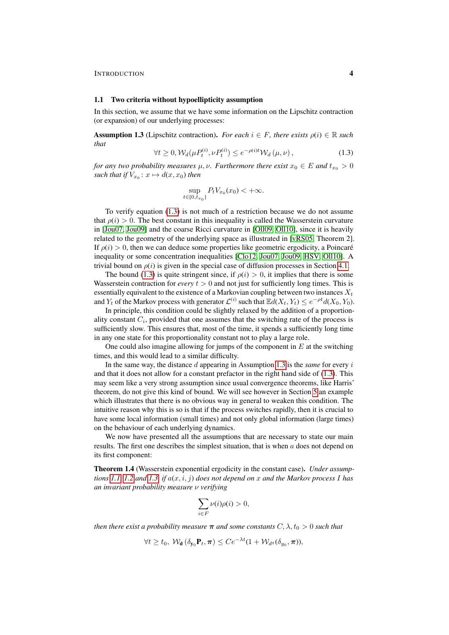#### 1.1 Two criteria without hypoellipticity assumption

In this section, we assume that we have some information on the Lipschitz contraction (or expansion) of our underlying processes:

<span id="page-3-1"></span><span id="page-3-0"></span>Assumption 1.3 (Lipschitz contraction). *For each*  $i \in F$ *, there exists*  $\rho(i) \in \mathbb{R}$  *such that*

$$
\forall t \ge 0, \mathcal{W}_d(\mu P_t^{(i)}, \nu P_t^{(i)}) \le e^{-\rho(i)t} \mathcal{W}_d(\mu, \nu), \tag{1.3}
$$

*for any two probability measures*  $\mu, \nu$ . Furthermore there exist  $x_0 \in E$  and  $t_{x_0} > 0$ such that if  $V_{x_0}: x \mapsto d(x, x_0)$  then

$$
\sup_{t \in [0, t_{x_0}]} P_t V_{x_0}(x_0) < +\infty.
$$

To verify equation [\(1.3\)](#page-3-0) is not much of a restriction because we do not assume that  $\rho(i) > 0$ . The best constant in this inequality is called the Wasserstein curvature in [\[Jou07,](#page-27-8) [Jou09\]](#page-27-9) and the coarse Ricci curvature in [\[Oll09,](#page-27-10) [Oll10\]](#page-28-3), since it is heavily related to the geometry of the underlying space as illustrated in [\[vRS05,](#page-28-4) Theorem 2]. If  $\rho(i) > 0$ , then we can deduce some properties like geometric ergodicity, a Poincaré inequality or some concentration inequalities [\[Clo12,](#page-27-11) [Jou07,](#page-27-8) [Jou09,](#page-27-9) [HSV,](#page-27-12) [Oll10\]](#page-28-3). A trivial bound on  $\rho(i)$  is given in the special case of diffusion processes in Section [4.1.](#page-22-1)

The bound [\(1.3\)](#page-3-0) is quite stringent since, if  $\rho(i) > 0$ , it implies that there is some Wasserstein contraction for *every*  $t > 0$  and not just for sufficiently long times. This is essentially equivalent to the existence of a Markovian coupling between two instances  $X_t$ and  $Y_t$  of the Markov process with generator  $\mathcal{L}^{(i)}$  such that  $\mathbb{E}d(X_t, Y_t) \leq e^{-\rho t}d(X_0, Y_0)$ .

In principle, this condition could be slightly relaxed by the addition of a proportionality constant  $C_i$ , provided that one assumes that the switching rate of the process is sufficiently slow. This ensures that, most of the time, it spends a sufficiently long time in any one state for this proportionality constant not to play a large role.

One could also imagine allowing for jumps of the component in  $E$  at the switching times, and this would lead to a similar difficulty.

In the same way, the distance d appearing in Assumption [1.3](#page-3-1) is the *same* for every i and that it does not allow for a constant prefactor in the right hand side of [\(1.3\)](#page-3-0). This may seem like a very strong assumption since usual convergence theorems, like Harris' theorem, do not give this kind of bound. We will see however in Section [5](#page-23-0) an example which illustrates that there is no obvious way in general to weaken this condition. The intuitive reason why this is so is that if the process switches rapidly, then it is crucial to have some local information (small times) and not only global information (large times) on the behaviour of each underlying dynamics.

We now have presented all the assumptions that are necessary to state our main results. The first one describes the simplest situation, that is when  $\alpha$  does not depend on its first component:

Theorem 1.4 (Wasserstein exponential ergodicity in the constant case). *Under assumptions* [1.1,](#page-2-0) [1.2](#page-2-1) *and* [1.3,](#page-3-1) *if*  $a(x, i, j)$  *does not depend on* x *and the Markov process* I *has an invariant probability measure* ν *verifying*

$$
\sum_{i \in F} \nu(i)\rho(i) > 0,
$$

*then there exist a probability measure*  $\pi$  *and some constants*  $C, \lambda, t_0 > 0$  *such that* 

$$
\forall t \geq t_0, \ \mathcal{W}_{\mathbf{d}}\left(\delta_{\mathbf{y}_0}\mathbf{P}_t, \boldsymbol{\pi}\right) \leq Ce^{-\lambda t}(1 + \mathcal{W}_{d^q}(\delta_{y_0}, \boldsymbol{\pi})),
$$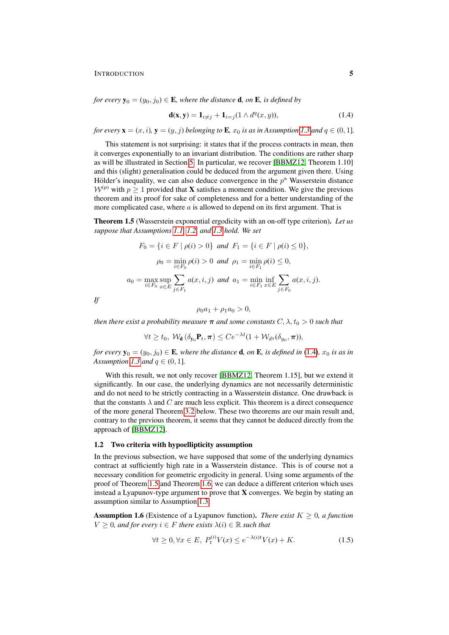*for every*  $y_0 = (y_0, j_0) \in E$ *, where the distance* **d***, on* E*, is defined by* 

<span id="page-4-0"></span>
$$
\mathbf{d}(\mathbf{x}, \mathbf{y}) = \mathbf{1}_{i \neq j} + \mathbf{1}_{i = j} (1 \wedge d^q(x, y)), \tag{1.4}
$$

*for every*  $\mathbf{x} = (x, i)$ ,  $\mathbf{y} = (y, j)$  *belonging to* **E**,  $x_0$  *is as in Assumption [1.3](#page-3-1) and*  $q \in (0, 1]$ *.* 

This statement is not surprising: it states that if the process contracts in mean, then it converges exponentially to an invariant distribution. The conditions are rather sharp as will be illustrated in Section [5.](#page-23-0) In particular, we recover [\[BBMZ12,](#page-26-4) Theorem 1.10] and this (slight) generalisation could be deduced from the argument given there. Using Hölder's inequality, we can also deduce convergence in the  $p<sup>th</sup>$  Wasserstein distance  $W^{(p)}$  with  $p > 1$  provided that **X** satisfies a moment condition. We give the previous theorem and its proof for sake of completeness and for a better understanding of the more complicated case, where  $a$  is allowed to depend on its first argument. That is

<span id="page-4-1"></span>Theorem 1.5 (Wasserstein exponential ergodicity with an on-off type criterion). *Let us suppose that Assumptions [1.1,](#page-2-0) [1.2,](#page-2-1) and [1.3](#page-3-1) hold. We set*

$$
F_0 = \{i \in F \mid \rho(i) > 0\} \text{ and } F_1 = \{i \in F \mid \rho(i) \le 0\},
$$
  

$$
\rho_0 = \min_{i \in F_0} \rho(i) > 0 \text{ and } \rho_1 = \min_{i \in F_1} \rho(i) \le 0,
$$
  

$$
a_0 = \max_{i \in F_0} \sup_{x \in E} \sum_{j \in F_1} a(x, i, j) \text{ and } a_1 = \min_{i \in F_1} \inf_{x \in E} \sum_{j \in F_0} a(x, i, j).
$$

*If*

 $\rho_0 a_1 + \rho_1 a_0 > 0,$ 

*then there exist a probability measure*  $\pi$  *and some constants*  $C, \lambda, t_0 > 0$  *such that* 

$$
\forall t \ge t_0, \ \mathcal{W}_{\mathbf{d}}\left(\delta_{\mathbf{y}_0}\mathbf{P}_t, \boldsymbol{\pi}\right) \le Ce^{-\lambda t}(1 + \mathcal{W}_{d^q}(\delta_{y_0}, \boldsymbol{\pi})),
$$

*for every*  $\mathbf{y}_0 = (y_0, j_0) \in \mathbf{E}$ *, where the distance* **d***, on* **E***, is defined in* [\(1.4\)](#page-4-0)*,*  $x_0$  *is as in Assumption [1.3](#page-3-1) and*  $q \in (0, 1]$ *.* 

With this result, we not only recover [\[BBMZ12,](#page-26-4) Theorem 1.15], but we extend it significantly. In our case, the underlying dynamics are not necessarily deterministic and do not need to be strictly contracting in a Wasserstein distance. One drawback is that the constants  $\lambda$  and C are much less explicit. This theorem is a direct consequence of the more general Theorem [3.2](#page-12-1) below. These two theorems are our main result and, contrary to the previous theorem, it seems that they cannot be deduced directly from the approach of [\[BBMZ12\]](#page-26-4).

#### 1.2 Two criteria with hypoellipticity assumption

In the previous subsection, we have supposed that some of the underlying dynamics contract at sufficiently high rate in a Wasserstein distance. This is of course not a necessary condition for geometric ergodicity in general. Using some arguments of the proof of Theorem [1.5](#page-4-1) and Theorem [1.6,](#page-4-2) we can deduce a different criterion which uses instead a Lyapunov-type argument to prove that  $X$  converges. We begin by stating an assumption similar to Assumption [1.3:](#page-3-1)

<span id="page-4-2"></span>Assumption 1.6 (Existence of a Lyapunov function). *There exist* K ≥ 0*, a function*  $V \geq 0$ , and for every  $i \in F$  there exists  $\lambda(i) \in \mathbb{R}$  such that

<span id="page-4-3"></span>
$$
\forall t \ge 0, \forall x \in E, \ P_t^{(i)} V(x) \le e^{-\lambda(i)t} V(x) + K. \tag{1.5}
$$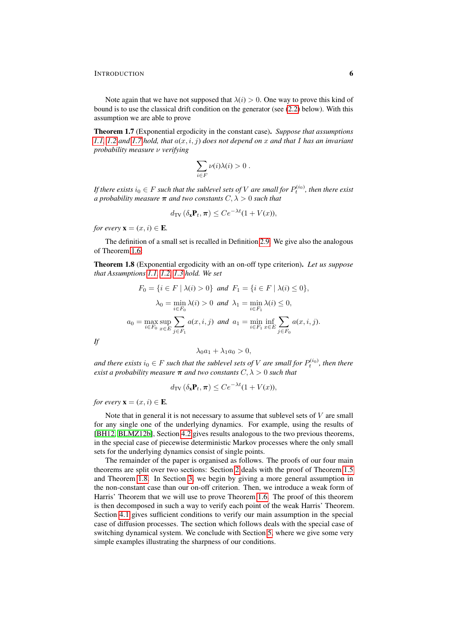Note again that we have not supposed that  $\lambda(i) > 0$ . One way to prove this kind of bound is to use the classical drift condition on the generator (see [\(2.2\)](#page-6-1) below). With this assumption we are able to prove

<span id="page-5-0"></span>Theorem 1.7 (Exponential ergodicity in the constant case). *Suppose that assumptions* [1.1,](#page-2-0) [1.2](#page-2-1) and [1.7](#page-5-0) hold, that  $a(x, i, j)$  does not depend on x and that I has an invariant *probability measure* ν *verifying*

$$
\sum_{i \in F} \nu(i)\lambda(i) > 0.
$$

If there exists  $i_0 \in F$  such that the sublevel sets of  $V$  are small for  $P_t^{(i_0)}$ , then there exist *a probability measure*  $\pi$  *and two constants*  $C, \lambda > 0$  *such that* 

$$
d_{\mathrm{TV}}\left(\delta_{\mathbf{x}} \mathbf{P}_t, \boldsymbol{\pi}\right) \leq C e^{-\lambda t} (1 + V(x)),
$$

*for every*  $\mathbf{x} = (x, i) \in \mathbf{E}$ *.* 

The definition of a small set is recalled in Definition [2.9.](#page-10-0) We give also the analogous of Theorem [1.6:](#page-4-2)

<span id="page-5-1"></span>Theorem 1.8 (Exponential ergodicity with an on-off type criterion). *Let us suppose that Assumptions [1.1,](#page-2-0) [1.2,](#page-2-1) [1.3](#page-3-1) hold. We set*

$$
F_0 = \{i \in F \mid \lambda(i) > 0\} \text{ and } F_1 = \{i \in F \mid \lambda(i) \le 0\},
$$
  

$$
\lambda_0 = \min_{i \in F_0} \lambda(i) > 0 \text{ and } \lambda_1 = \min_{i \in F_1} \lambda(i) \le 0,
$$
  

$$
a_0 = \max_{i \in F_0} \sup_{x \in E} \sum_{j \in F_1} a(x, i, j) \text{ and } a_1 = \min_{i \in F_1} \inf_{x \in E} \sum_{j \in F_0} a(x, i, j).
$$

*If*

$$
\lambda_0 a_1 + \lambda_1 a_0 > 0,
$$

and there exists  $i_0 \in F$  such that the sublevel sets of  $V$  are small for  $P_t^{(i_0)}$ , then there *exist a probability measure*  $\pi$  *and two constants*  $C, \lambda > 0$  *such that* 

$$
d_{\mathrm{TV}}\left(\delta_{\mathbf{x}} \mathbf{P}_t, \boldsymbol{\pi}\right) \leq C e^{-\lambda t} (1 + V(x)),
$$

*for every*  $\mathbf{x} = (x, i) \in \mathbf{E}$ .

Note that in general it is not necessary to assume that sublevel sets of  $V$  are small for any single one of the underlying dynamics. For example, using the results of [\[BH12,](#page-26-1) [BLMZ12b\]](#page-26-3), Section [4.2](#page-23-1) gives results analogous to the two previous theorems, in the special case of piecewise deterministic Markov processes where the only small sets for the underlying dynamics consist of single points.

The remainder of the paper is organised as follows. The proofs of our four main theorems are split over two sections: Section [2](#page-6-0) deals with the proof of Theorem [1.5](#page-4-1) and Theorem [1.8.](#page-5-1) In Section [3,](#page-12-0) we begin by giving a more general assumption in the non-constant case than our on-off criterion. Then, we introduce a weak form of Harris' Theorem that we will use to prove Theorem [1.6.](#page-4-2) The proof of this theorem is then decomposed in such a way to verify each point of the weak Harris' Theorem. Section [4.1](#page-22-1) gives sufficient conditions to verify our main assumption in the special case of diffusion processes. The section which follows deals with the special case of switching dynamical system. We conclude with Section [5,](#page-23-0) where we give some very simple examples illustrating the sharpness of our conditions.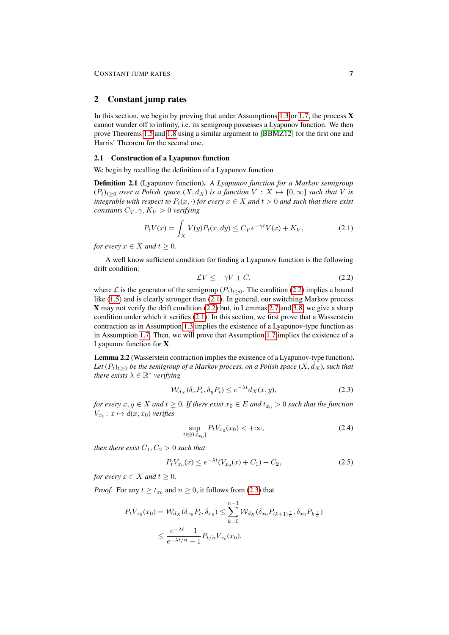## <span id="page-6-0"></span>2 Constant jump rates

In this section, we begin by proving that under Assumptions [1.3](#page-3-1) or [1.7,](#page-5-0) the process  $\bf{X}$ cannot wander off to infinity, i.e. its semigroup possesses a Lyapunov function. We then prove Theorems [1.5](#page-4-1) and [1.8](#page-5-1) using a similar argument to [\[BBMZ12\]](#page-26-4) for the first one and Harris' Theorem for the second one.

#### 2.1 Construction of a Lyapunov function

We begin by recalling the definition of a Lyapunov function

<span id="page-6-7"></span>Definition 2.1 (Lyapunov function). *A Lyapunov function for a Markov semigroup*  $(P_t)_{t>0}$  *over a Polish space*  $(X, d_X)$  *is a function*  $V : X \mapsto [0, \infty]$  *such that* V *is integrable with respect to*  $P_t(x, \cdot)$  *for every*  $x \in X$  *and*  $t > 0$  *and such that there exist constants*  $C_V$ ,  $\gamma$ ,  $K_V > 0$  *verifying* 

<span id="page-6-2"></span><span id="page-6-1"></span>
$$
P_t V(x) = \int_X V(y) P_t(x, dy) \le C_V e^{-\gamma t} V(x) + K_V,
$$
\n(2.1)

*for every*  $x \in X$  *and*  $t \geq 0$ *.* 

A well know sufficient condition for finding a Lyapunov function is the following drift condition:

$$
\mathcal{L}V \le -\gamma V + C,\tag{2.2}
$$

where  $\mathcal L$  is the generator of the semigroup  $(P_t)_{t\geq 0}$ . The condition [\(2.2\)](#page-6-1) implies a bound like [\(1.5\)](#page-4-3) and is clearly stronger than [\(2.1\)](#page-6-2). In general, our switching Markov process X may not verify the drift condition [\(2.2\)](#page-6-1) but, in Lemmas [2.7](#page-8-0) and [3.8,](#page-14-0) we give a sharp condition under which it verifies [\(2.1\)](#page-6-2). In this section, we first prove that a Wasserstein contraction as in Assumption [1.3](#page-3-1) implies the existence of a Lyapunov-type function as in Assumption [1.7.](#page-5-0) Then, we will prove that Assumption [1.7](#page-5-0) implies the existence of a Lyapunov function for X.

<span id="page-6-6"></span>Lemma 2.2 (Wasserstein contraction implies the existence of a Lyapunov-type function). Let  $(P_t)_{t>0}$  *be the semigroup of a Markov process, on a Polish space*  $(X, d_X)$ *, such that there exists*  $\lambda \in \mathbb{R}^*$  *verifying* 

<span id="page-6-3"></span>
$$
\mathcal{W}_{d_X}(\delta_x P_t, \delta_y P_t) \le e^{-\lambda t} d_X(x, y),\tag{2.3}
$$

*for every*  $x, y \in X$  *and*  $t \geq 0$ *. If there exist*  $x_0 \in E$  *and*  $t_{x_0} > 0$  *such that the function*  $V_{x_0}: x \mapsto d(x, x_0)$  *verifies* 

<span id="page-6-5"></span><span id="page-6-4"></span>
$$
\sup_{t \in [0, t_{x_0}]} P_t V_{x_0}(x_0) < +\infty,
$$
\n(2.4)

*then there exist*  $C_1, C_2 > 0$  *such that* 

$$
P_t V_{x_0}(x) \le e^{-\lambda t} (V_{x_0}(x) + C_1) + C_2,
$$
\n(2.5)

*for every*  $x \in X$  *and*  $t \geq 0$ *.* 

*Proof.* For any  $t \geq t_{x_0}$  and  $n \geq 0$ , it follows from [\(2.3\)](#page-6-3) that

$$
P_t V_{x_0}(x_0) = \mathcal{W}_{d_X}(\delta_{x_0} P_t, \delta_{x_0}) \le \sum_{k=0}^{n-1} \mathcal{W}_{d_X}(\delta_{x_0} P_{(k+1)\frac{t}{n}}, \delta_{x_0} P_{k\frac{t}{n}})
$$
  

$$
\le \frac{e^{-\lambda t} - 1}{e^{-\lambda t/n} - 1} P_{t/n} V_{x_0}(x_0).
$$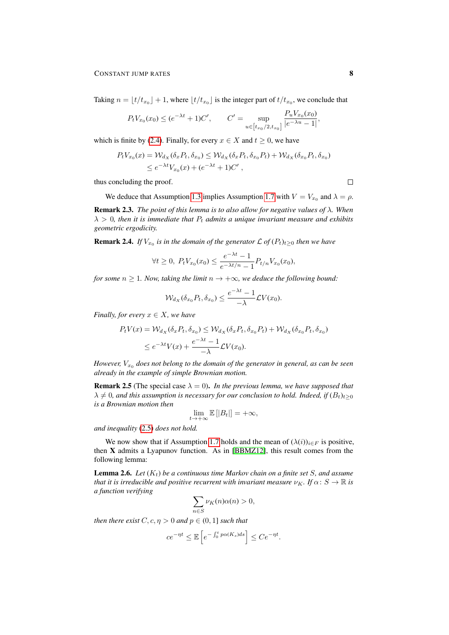Taking  $n = \lfloor t/t_{x_0} \rfloor + 1$ , where  $\lfloor t/t_{x_0} \rfloor$  is the integer part of  $t/t_{x_0}$ , we conclude that

$$
P_t V_{x_0}(x_0) \le (e^{-\lambda t} + 1)C', \qquad C' = \sup_{u \in [t_{x_0}/2, t_{x_0}]} \frac{P_u V_{x_0}(x_0)}{|e^{-\lambda u} - 1|},
$$

which is finite by [\(2.4\)](#page-6-4). Finally, for every  $x \in X$  and  $t \geq 0$ , we have

$$
P_t V_{x_0}(x) = \mathcal{W}_{d_X}(\delta_x P_t, \delta_{x_0}) \le \mathcal{W}_{d_X}(\delta_x P_t, \delta_{x_0} P_t) + \mathcal{W}_{d_X}(\delta_{x_0} P_t, \delta_{x_0})
$$
  

$$
\le e^{-\lambda t} V_{x_0}(x) + (e^{-\lambda t} + 1)C',
$$

thus concluding the proof.

We deduce that Assumption [1.3](#page-3-1) implies Assumption [1.7](#page-5-0) with  $V = V_{x_0}$  and  $\lambda = \rho$ .

Remark 2.3. *The point of this lemma is to also allow for negative values of* λ*. When*  $\lambda > 0$ , then it is immediate that  $P_t$  admits a unique invariant measure and exhibits *geometric ergodicity.*

**Remark 2.4.** If  $V_{x_0}$  is in the domain of the generator  $\mathcal{L}$  of  $(P_t)_{t\geq0}$  then we have

$$
\forall t \geq 0, \ P_t V_{x_0}(x_0) \leq \frac{e^{-\lambda t} - 1}{e^{-\lambda t/n} - 1} P_{t/n} V_{x_0}(x_0),
$$

*for some*  $n \geq 1$ *. Now, taking the limit*  $n \to +\infty$ *, we deduce the following bound:* 

$$
\mathcal{W}_{d_X}(\delta_{x_0} P_t, \delta_{x_0}) \leq \frac{e^{-\lambda t} - 1}{-\lambda} \mathcal{L} V(x_0).
$$

*Finally, for every*  $x \in X$ *, we have* 

$$
P_t V(x) = \mathcal{W}_{d_X}(\delta_x P_t, \delta_{x_0}) \le \mathcal{W}_{d_X}(\delta_x P_t, \delta_{x_0} P_t) + \mathcal{W}_{d_X}(\delta_{x_0} P_t, \delta_{x_0})
$$
  

$$
\le e^{-\lambda t} V(x) + \frac{e^{-\lambda t} - 1}{-\lambda} \mathcal{L} V(x_0).
$$

*However,*  $V_{x_0}$  *does not belong to the domain of the generator in general, as can be seen already in the example of simple Brownian motion.*

**Remark 2.5** (The special case  $\lambda = 0$ ). *In the previous lemma, we have supposed that*  $\lambda \neq 0$ , and this assumption is necessary for our conclusion to hold. Indeed, if  $(B_t)_{t>0}$ *is a Brownian motion then*

$$
\lim_{t \to +\infty} \mathbb{E}\left[|B_t|\right] = +\infty,
$$

*and inequality* [\(2.5\)](#page-6-5) *does not hold.*

We now show that if Assumption [1.7](#page-5-0) holds and the mean of  $(\lambda(i))_{i\in F}$  is positive, then X admits a Lyapunov function. As in [\[BBMZ12\]](#page-26-4), this result comes from the following lemma:

<span id="page-7-0"></span>**Lemma 2.6.** *Let*  $(K_t)$  *be a continuous time Markov chain on a finite set*  $S$ *, and assume that it is irreducible and positive recurrent with invariant measure*  $\nu_K$ *. If*  $\alpha$ *:*  $S \to \mathbb{R}$  *is a function verifying*

$$
\sum_{n \in S} \nu_K(n)\alpha(n) > 0,
$$

*then there exist*  $C, c, \eta > 0$  *and*  $p \in (0, 1]$  *such that* 

$$
ce^{-\eta t} \le \mathbb{E}\left[e^{-\int_0^t p\alpha(K_s)ds}\right] \le Ce^{-\eta t}.
$$

 $\Box$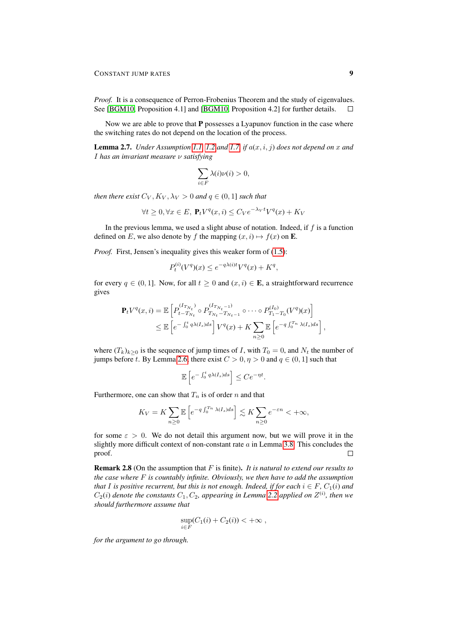*Proof.* It is a consequence of Perron-Frobenius Theorem and the study of eigenvalues. See [\[BGM10,](#page-26-2) Proposition 4.1] and [\[BGM10,](#page-26-2) Proposition 4.2] for further details. □

Now we are able to prove that  $P$  possesses a Lyapunov function in the case where the switching rates do not depend on the location of the process.

<span id="page-8-0"></span>**Lemma 2.7.** *Under Assumption [1.1,](#page-2-0) [1.2](#page-2-1) and [1.7,](#page-5-0) if*  $a(x, i, j)$  *does not depend on* x *and* I *has an invariant measure* ν *satisfying*

$$
\sum_{i \in F} \lambda(i)\nu(i) > 0,
$$

*then there exist*  $C_V$ ,  $K_V$ ,  $\lambda_V > 0$  *and*  $q \in (0, 1]$  *such that* 

$$
\forall t \ge 0, \forall x \in E, \ \mathbf{P}_t V^q(x, i) \le C_V e^{-\lambda_V t} V^q(x) + K_V
$$

In the previous lemma, we used a slight abuse of notation. Indeed, if  $f$  is a function defined on E, we also denote by f the mapping  $(x, i) \mapsto f(x)$  on **E**.

*Proof.* First, Jensen's inequality gives this weaker form of [\(1.5\)](#page-4-3):

$$
P_t^{(i)}(V^q)(x) \le e^{-q\lambda(i)t}V^q(x) + K^q,
$$

for every  $q \in (0, 1]$ . Now, for all  $t \geq 0$  and  $(x, i) \in \mathbf{E}$ , a straightforward recurrence gives

$$
\mathbf{P}_{t}V^{q}(x,i) = \mathbb{E}\left[P_{t-T_{N_{t}}}^{(I_{T_{N_{t}}})} \circ P_{T_{N_{t}}-T_{N_{t}-1}}^{(I_{T_{N_{t}}-1})} \circ \cdots \circ P_{T_{1}-T_{0}}^{(I_{0})}(V^{q})(x)\right]
$$
  

$$
\leq \mathbb{E}\left[e^{-\int_{0}^{t} q\lambda(I_{s})ds}\right]V^{q}(x) + K\sum_{n\geq 0}\mathbb{E}\left[e^{-q\int_{0}^{T_{n}} \lambda(I_{s})ds}\right],
$$

where  $(T_k)_{k\geq 0}$  is the sequence of jump times of I, with  $T_0 = 0$ , and  $N_t$  the number of jumps before t. By Lemma [2.6,](#page-7-0) there exist  $C > 0, \eta > 0$  and  $q \in (0, 1]$  such that

$$
\mathbb{E}\left[e^{-\int_0^t q\lambda(I_s)ds}\right] \le Ce^{-\eta t}.
$$

Furthermore, one can show that  $T_n$  is of order n and that

$$
K_V = K \sum_{n \ge 0} \mathbb{E}\left[e^{-q \int_0^{T_n} \lambda(I_s) ds}\right] \lesssim K \sum_{n \ge 0} e^{-\varepsilon n} < +\infty,
$$

for some  $\varepsilon > 0$ . We do not detail this argument now, but we will prove it in the slightly more difficult context of non-constant rate  $a$  in Lemma [3.8.](#page-14-0) This concludes the proof. П

Remark 2.8 (On the assumption that F is finite). *It is natural to extend our results to the case where* F *is countably infinite. Obviously, we then have to add the assumption that* I is positive recurrent, but this is not enough. Indeed, if for each  $i \in F$ ,  $C_1(i)$  and  $C_2(i)$  denote the constants  $C_1, C_2$ , appearing in Lemma [2.2](#page-6-6) applied on  $Z^{(i)}$ , then we *should furthermore assume that*

$$
\sup_{i \in F} (C_1(i) + C_2(i)) < +\infty ,
$$

*for the argument to go through.*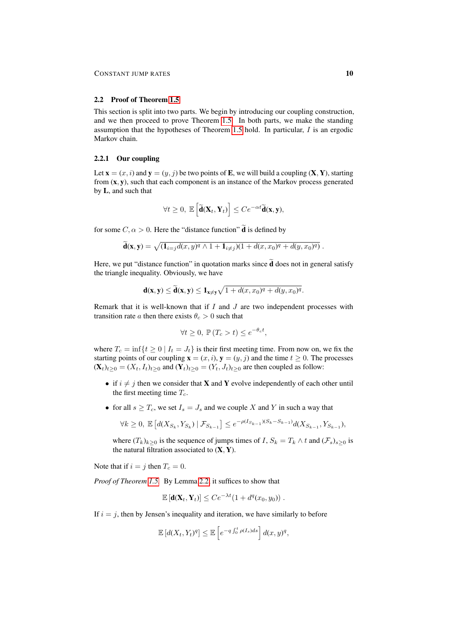#### 2.2 Proof of Theorem [1.5](#page-4-1)

This section is split into two parts. We begin by introducing our coupling construction, and we then proceed to prove Theorem [1.5.](#page-4-1) In both parts, we make the standing assumption that the hypotheses of Theorem [1.5](#page-4-1) hold. In particular, I is an ergodic Markov chain.

#### 2.2.1 Our coupling

Let  $\mathbf{x} = (x, i)$  and  $\mathbf{y} = (y, j)$  be two points of **E**, we will build a coupling  $(\mathbf{X}, \mathbf{Y})$ , starting from  $(x, y)$ , such that each component is an instance of the Markov process generated by L, and such that

$$
\forall t \geq 0, \, \mathbb{E}\left[\widetilde{\mathbf{d}}(\mathbf{X}_t, \mathbf{Y}_t)\right] \leq Ce^{-\alpha t} \widetilde{\mathbf{d}}(\mathbf{x}, \mathbf{y}),
$$

for some  $C, \alpha > 0$ . Here the "distance function"  $\tilde{d}$  is defined by

$$
\widetilde{\mathbf{d}}(\mathbf{x}, \mathbf{y}) = \sqrt{(\mathbf{1}_{i=j}d(x, y)^q \wedge 1 + \mathbf{1}_{i \neq j})(1 + d(x, x_0)^q + d(y, x_0)^q)}.
$$

Here, we put "distance function" in quotation marks since  $\tilde{d}$  does not in general satisfy the triangle inequality. Obviously, we have

$$
\mathbf{d}(\mathbf{x}, \mathbf{y}) \le \widetilde{\mathbf{d}}(\mathbf{x}, \mathbf{y}) \le \mathbf{1}_{\mathbf{x} \neq \mathbf{y}} \sqrt{1 + d(x, x_0)^q + d(y, x_0)^q}.
$$

Remark that it is well-known that if  $I$  and  $J$  are two independent processes with transition rate a then there exists  $\theta_c > 0$  such that

$$
\forall t \ge 0, \, \mathbb{P}\left(T_c > t\right) \le e^{-\theta_c t},
$$

where  $T_c = \inf\{t \ge 0 \mid I_t = J_t\}$  is their first meeting time. From now on, we fix the starting points of our coupling  $\mathbf{x} = (x, i)$ ,  $\mathbf{y} = (y, j)$  and the time  $t \ge 0$ . The processes  $(\mathbf{X}_t)_{t>0} = (X_t, I_t)_{t>0}$  and  $(\mathbf{Y}_t)_{t>0} = (Y_t, J_t)_{t>0}$  are then coupled as follow:

- if  $i \neq j$  then we consider that **X** and **Y** evolve independently of each other until the first meeting time  $T_c$ .
- for all  $s \geq T_c$ , we set  $I_s = J_s$  and we couple X and Y in such a way that

$$
\forall k \geq 0, \mathbb{E}\left[d(X_{S_k}, Y_{S_k}) \mid \mathcal{F}_{S_{k-1}}\right] \leq e^{-\rho(I_{S_{k-1}})(S_k - S_{k-1})}d(X_{S_{k-1}}, Y_{S_{k-1}}),
$$

where  $(T_k)_{k>0}$  is the sequence of jumps times of I,  $S_k = T_k \wedge t$  and  $(\mathcal{F}_s)_{s>0}$  is the natural filtration associated to  $(X, Y)$ .

Note that if  $i = j$  then  $T_c = 0$ .

*Proof of Theorem [1.5.](#page-4-1)* By Lemma [2.2,](#page-6-6) it suffices to show that

$$
\mathbb{E} [\mathbf{d}(\mathbf{X}_t, \mathbf{Y}_t)] \leq Ce^{-\lambda t} (1 + d^q(x_0, y_0)) \ .
$$

If  $i = j$ , then by Jensen's inequality and iteration, we have similarly to before

$$
\mathbb{E}\left[d(X_t,Y_t)^q\right] \leq \mathbb{E}\left[e^{-q\int_0^t \rho(I_s)ds}\right]d(x,y)^q,
$$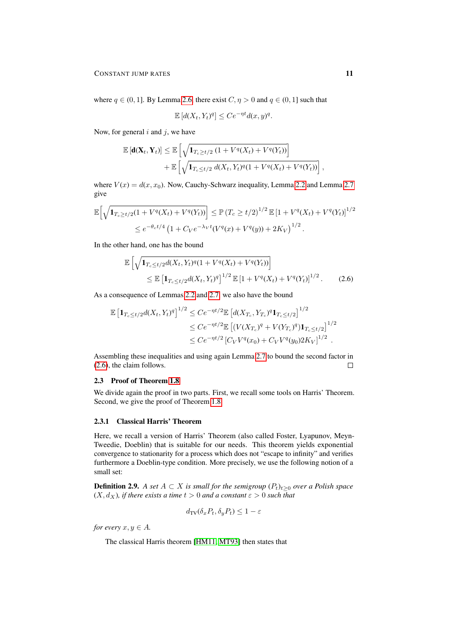where  $q \in (0, 1]$ . By Lemma [2.6,](#page-7-0) there exist  $C, \eta > 0$  and  $q \in (0, 1]$  such that

$$
\mathbb{E}\left[d(X_t, Y_t)^q\right] \le C e^{-\eta t} d(x, y)^q.
$$

Now, for general  $i$  and  $j$ , we have

$$
\mathbb{E}\left[\mathbf{d}(\mathbf{X}_t, \mathbf{Y}_t)\right] \leq \mathbb{E}\left[\sqrt{\mathbf{1}_{T_c \geq t/2} \left(1 + V^q(X_t) + V^q(Y_t)\right)}\right] + \mathbb{E}\left[\sqrt{\mathbf{1}_{T_c \leq t/2} d(X_t, Y_t)^q (1 + V^q(X_t) + V^q(Y_t))}\right]
$$

where  $V(x) = d(x, x_0)$ . Now, Cauchy-Schwarz inequality, Lemma [2.2](#page-6-6) and Lemma [2.7](#page-8-0) give

$$
\mathbb{E}\left[\sqrt{\mathbf{1}_{T_c \ge t/2}(1 + V^q(X_t) + V^q(Y_t))}\right] \le \mathbb{P}\left(T_c \ge t/2\right)^{1/2} \mathbb{E}\left[1 + V^q(X_t) + V^q(Y_t)\right]^{1/2}
$$
  

$$
\le e^{-\theta_c t/4} \left(1 + C_V e^{-\lambda_V t} (V^q(x) + V^q(y)) + 2K_V\right)^{1/2}.
$$

In the other hand, one has the bound

$$
\mathbb{E}\left[\sqrt{\mathbf{1}_{T_c \le t/2}d(X_t, Y_t)^q (1 + V^q(X_t) + V^q(Y_t))}\right]
$$
\n
$$
\le \mathbb{E}\left[\mathbf{1}_{T_c \le t/2}d(X_t, Y_t)^q\right]^{1/2} \mathbb{E}\left[1 + V^q(X_t) + V^q(Y_t)\right]^{1/2}.\tag{2.6}
$$

As a consequence of Lemmas [2.2](#page-6-6) and [2.7,](#page-8-0) we also have the bound

$$
\mathbb{E} \left[ \mathbf{1}_{T_c \le t/2} d(X_t, Y_t)^q \right]^{1/2} \le C e^{-\eta t/2} \mathbb{E} \left[ d(X_{T_c}, Y_{T_c})^q \mathbf{1}_{T_c \le t/2} \right]^{1/2}
$$
  
\n
$$
\le C e^{-\eta t/2} \mathbb{E} \left[ (V(X_{T_c})^q + V(Y_{T_c})^q) \mathbf{1}_{T_c \le t/2} \right]^{1/2}
$$
  
\n
$$
\le C e^{-\eta t/2} \left[ C_V V^q(x_0) + C_V V^q(y_0) 2K_V \right]^{1/2} .
$$

Assembling these inequalities and using again Lemma [2.7](#page-8-0) to bound the second factor in [\(2.6\)](#page-10-1), the claim follows.  $\Box$ 

#### 2.3 Proof of Theorem [1.8](#page-5-1)

We divide again the proof in two parts. First, we recall some tools on Harris' Theorem. Second, we give the proof of Theorem [1.8.](#page-5-1)

#### 2.3.1 Classical Harris' Theorem

Here, we recall a version of Harris' Theorem (also called Foster, Lyapunov, Meyn-Tweedie, Doeblin) that is suitable for our needs. This theorem yields exponential convergence to stationarity for a process which does not "escape to infinity" and verifies furthermore a Doeblin-type condition. More precisely, we use the following notion of a small set:

<span id="page-10-0"></span>**Definition 2.9.** *A set*  $A ⊂ X$  *is small for the semigroup*  $(P_t)_{t≥0}$  *over a Polish space*  $(X, d_X)$ *, if there exists a time*  $t > 0$  *and a constant*  $\varepsilon > 0$  *such that* 

$$
d_{\mathrm{TV}}(\delta_x P_t, \delta_y P_t) \le 1 - \varepsilon
$$

*for every*  $x, y \in A$ *.* 

The classical Harris theorem [\[HM11,](#page-27-13) [MT93\]](#page-27-14) then states that

<span id="page-10-1"></span>,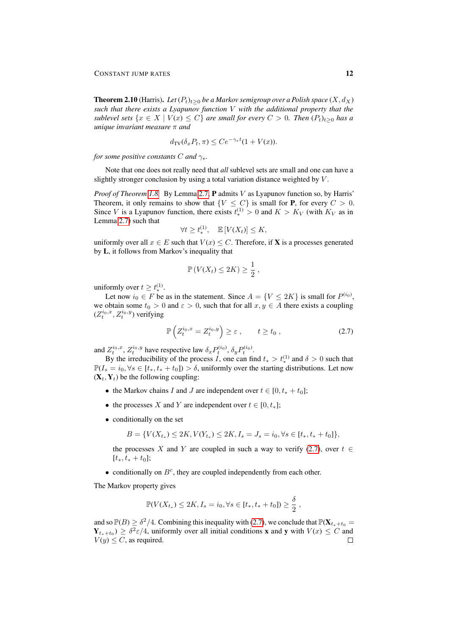<span id="page-11-1"></span>**Theorem 2.10** (Harris). *Let*  $(P_t)_{t>0}$  *be a Markov semigroup over a Polish space*  $(X, d_X)$ *such that there exists a Lyapunov function* V *with the additional property that the sublevel sets*  $\{x \in X \mid V(x) \leq C\}$  *are small for every*  $C > 0$ *. Then*  $(P_t)_{t>0}$  *has a unique invariant measure* π *and*

$$
d_{\mathrm{TV}}(\delta_x P_t, \pi) \le C e^{-\gamma_* t} (1 + V(x)).
$$

*for some positive constants* C *and* γ∗*.*

Note that one does not really need that *all* sublevel sets are small and one can have a slightly stronger conclusion by using a total variation distance weighted by V.

*Proof of Theorem [1.8.](#page-5-1)* By Lemma [2.7,](#page-8-0) P admits V as Lyapunov function so, by Harris' Theorem, it only remains to show that  $\{V \leq C\}$  is small for **P**, for every  $C > 0$ . Since V is a Lyapunov function, there exists  $t_*^{(1)} > 0$  and  $K > K_V$  (with  $K_V$  as in Lemma [2.7\)](#page-8-0) such that

$$
\forall t \geq t_*^{(1)}, \quad \mathbb{E}\left[V(X_t)\right] \leq K,
$$

uniformly over all  $x \in E$  such that  $V(x) \leq C$ . Therefore, if **X** is a processes generated by L, it follows from Markov's inequality that

<span id="page-11-0"></span>
$$
\mathbb{P}\left(V(X_t) \le 2K\right) \ge \frac{1}{2},
$$

uniformly over  $t \geq t_*^{(1)}$ .

Let now  $i_0 \in F$  be as in the statement. Since  $A = \{V \le 2K\}$  is small for  $P^{(i_0)}$ , we obtain some  $t_0 > 0$  and  $\varepsilon > 0$ , such that for all  $x, y \in A$  there exists a coupling  $(Z_t^{i_0,x}, Z_t^{i_0,y})$  verifying

$$
\mathbb{P}\left(Z_t^{i_0,x} = Z_t^{i_0,y}\right) \ge \varepsilon \,, \qquad t \ge t_0 \,, \tag{2.7}
$$

and  $Z_t^{i_0,x}$ ,  $Z_t^{i_0,y}$  have respective law  $\delta_x P_t^{(i_0)}$ ,  $\delta_y P_t^{(i_0)}$ .

By the irreducibility of the process *I*, one can find  $t_* > t_*^{(1)}$  and  $\delta > 0$  such that  $\mathbb{P}(I_s = i_0, \forall s \in [t_*, t_* + t_0]) > \delta$ , uniformly over the starting distributions. Let now  $(X_t, Y_t)$  be the following coupling:

- the Markov chains I and J are independent over  $t \in [0, t_* + t_0]$ ;
- the processes X and Y are independent over  $t \in [0, t_*]$ ;
- conditionally on the set

$$
B = \{ V(X_{t_*}) \le 2K, V(Y_{t_*}) \le 2K, I_s = J_s = i_0, \forall s \in [t_*, t_* + t_0] \},
$$

the processes X and Y are coupled in such a way to verify [\(2.7\)](#page-11-0), over  $t \in$  $[t_*, t_* + t_0];$ 

• conditionally on  $B^c$ , they are coupled independently from each other.

The Markov property gives

$$
\mathbb{P}(V(X_{t_*}) \le 2K, I_s = i_0, \forall s \in [t_*, t_* + t_0]) \ge \frac{\delta}{2},
$$

and so  $\mathbb{P}(B) \ge \delta^2/4$ . Combining this inequality with [\(2.7\)](#page-11-0), we conclude that  $\mathbb{P}(\mathbf{X}_{t_*+t_0} =$  $Y_{t_*+t_0}$ )  $\geq \delta^2 \varepsilon/4$ , uniformly over all initial conditions x and y with  $V(x) \leq C$  and  $V(y) \leq C$ , as required.  $\Box$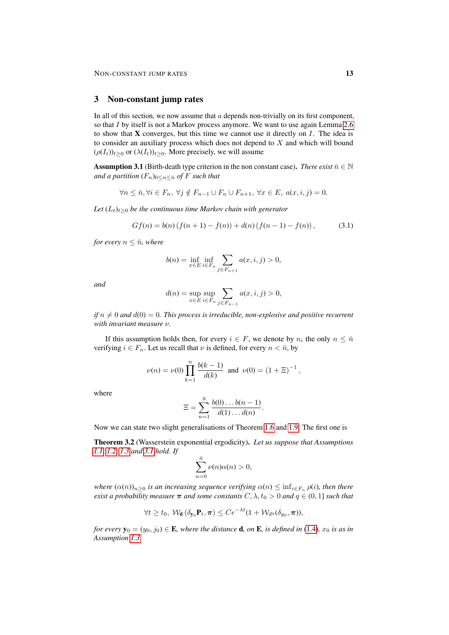#### <span id="page-12-0"></span>3 Non-constant jump rates

In all of this section, we now assume that  $a$  depends non-trivially on its first component, so that I by itself is not a Markov process anymore. We want to use again Lemma [2.6](#page-7-0) to show that  $X$  converges, but this time we cannot use it directly on  $I$ . The idea is to consider an auxiliary process which does not depend to  $X$  and which will bound  $(\rho(I_t))_{t\geq 0}$  or  $(\lambda(I_t))_{t\geq 0}$ . More precisely, we will assume

<span id="page-12-2"></span>**Assumption 3.1** (Birth-death type criterion in the non constant case). *There exist*  $\bar{n} \in \mathbb{N}$ *and a partition*  $(F_n)_{0 \leq n \leq \bar{n}}$  *of F such that* 

$$
\forall n \leq \bar{n}, \forall i \in F_n, \ \forall j \notin F_{n-1} \cup F_n \cup F_{n+1}, \ \forall x \in E, \ a(x, i, j) = 0.
$$

Let  $(L_t)_{t>0}$  be the continuous time Markov chain with generator

$$
Gf(n) = b(n) (f(n + 1) - f(n)) + d(n) (f(n - 1) - f(n)), \tag{3.1}
$$

*for every*  $n \leq \bar{n}$ *, where* 

<span id="page-12-3"></span>
$$
b(n) = \inf_{x \in E} \inf_{i \in F_n} \sum_{j \in F_{n+1}} a(x, i, j) > 0,
$$

*and*

$$
d(n) = \sup_{x \in E} \sup_{i \in F_n} \sum_{j \in F_{n-1}} a(x, i, j) > 0,
$$

*if*  $n \neq 0$  *and*  $d(0) = 0$ *. This process is irreducible, non-explosive and positive recurrent with invariant measure* ν*.*

If this assumption holds then, for every  $i \in F$ , we denote by  $n_i$  the only  $n \leq \bar{n}$ verifying  $i \in F_n$ . Let us recall that  $\nu$  is defined, for every  $n < \bar{n}$ , by

$$
\nu(n) = \nu(0) \prod_{k=1}^{n} \frac{b(k-1)}{d(k)}
$$
 and  $\nu(0) = (1 + \Xi)^{-1}$ ,

where

$$
\Xi = \sum_{n=1}^{\bar{n}} \frac{b(0)\dots b(n-1)}{d(1)\dots d(n)}.
$$

Now we can state two slight generalisations of Theorem [1.6](#page-4-2) and [1.9.](#page-0-1) The first one is

<span id="page-12-1"></span>Theorem 3.2 (Wasserstein exponential ergodicity). *Let us suppose that Assumptions [1.1,](#page-2-0) [1.2,](#page-2-1) [1.3](#page-3-1) and [3.1](#page-12-2) hold. If*

$$
\sum_{n=0}^{\bar{n}} \nu(n)\alpha(n) > 0,
$$

*where*  $(\alpha(n))_{n\geq 0}$  *is an increasing sequence verifying*  $\alpha(n) \leq \inf_{i \in F_n} \rho(i)$ *, then there exist a probability measure*  $\pi$  *and some constants*  $C, \lambda, t_0 > 0$  *and*  $q \in (0, 1]$  *such that* 

$$
\forall t \geq t_0, \ \mathcal{W}_{\mathbf{d}}\left(\delta_{\mathbf{y}_0}\mathbf{P}_t, \boldsymbol{\pi}\right) \leq Ce^{-\lambda t}(1 + \mathcal{W}_{d^q}(\delta_{y_0}, \boldsymbol{\pi})),
$$

*for every*  $\mathbf{y}_0 = (y_0, j_0) \in \mathbf{E}$ *, where the distance* **d***, on* **E***, is defined in* [\(1.4\)](#page-4-0)*,*  $x_0$  *is as in Assumption [1.3.](#page-3-1)*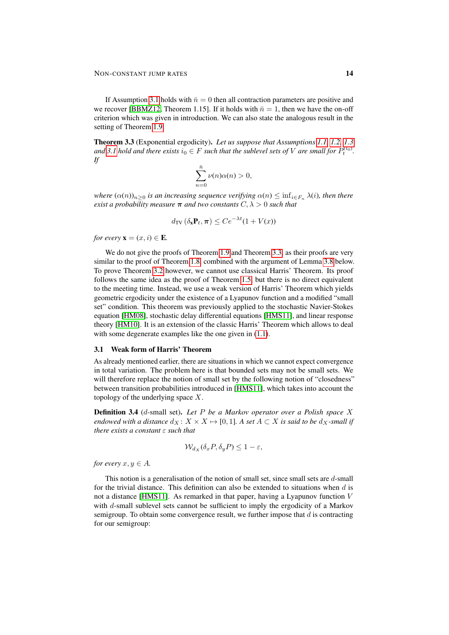If Assumption [3.1](#page-12-2) holds with  $\bar{n}=0$  then all contraction parameters are positive and we recover [\[BBMZ12,](#page-26-4) Theorem 1.15]. If it holds with  $\bar{n} = 1$ , then we have the on-off criterion which was given in introduction. We can also state the analogous result in the setting of Theorem [1.9:](#page-0-1)

<span id="page-13-0"></span>Theorem 3.3 (Exponential ergodicity). *Let us suppose that Assumptions [1.1,](#page-2-0) [1.2,](#page-2-1) [1.3](#page-3-1)* and [3.1](#page-12-2) hold and there exists  $i_0 \in F$  such that the sublevel sets of V are small for  $P_t^{(i_0)}$ . *If*

$$
\sum_{n=0}^{\bar{n}} \nu(n)\alpha(n) > 0,
$$

*where*  $(\alpha(n))_{n>0}$  *is an increasing sequence verifying*  $\alpha(n) \leq \inf_{i \in F_n} \lambda(i)$ *, then there exist a probability measure*  $\pi$  *and two constants*  $C, \lambda > 0$  *such that* 

$$
d_{\text{TV}}\left(\delta_{\mathbf{x}} \mathbf{P}_t, \boldsymbol{\pi}\right) \leq C e^{-\lambda t} (1 + V(x))
$$

*for every*  $\mathbf{x} = (x, i) \in \mathbf{E}$ *.* 

We do not give the proofs of Theorem [1.9](#page-0-1) and Theorem [3.3,](#page-13-0) as their proofs are very similar to the proof of Theorem [1.8,](#page-5-1) combined with the argument of Lemma [3.8](#page-14-0) below. To prove Theorem [3.2](#page-12-1) however, we cannot use classical Harris' Theorem. Its proof follows the same idea as the proof of Theorem [1.5,](#page-4-1) but there is no direct equivalent to the meeting time. Instead, we use a weak version of Harris' Theorem which yields geometric ergodicity under the existence of a Lyapunov function and a modified "small set" condition. This theorem was previously applied to the stochastic Navier-Stokes equation [\[HM08\]](#page-27-15), stochastic delay differential equations [\[HMS11\]](#page-27-16), and linear response theory [\[HM10\]](#page-27-17). It is an extension of the classic Harris' Theorem which allows to deal with some degenerate examples like the one given in [\(1.1\)](#page-1-0).

#### 3.1 Weak form of Harris' Theorem

As already mentioned earlier, there are situations in which we cannot expect convergence in total variation. The problem here is that bounded sets may not be small sets. We will therefore replace the notion of small set by the following notion of "closedness" between transition probabilities introduced in [\[HMS11\]](#page-27-16), which takes into account the topology of the underlying space  $X$ .

Definition 3.4 (d-small set). *Let* P *be a Markov operator over a Polish space* X *endowed with a distance*  $d_X: X \times X \mapsto [0, 1]$ *. A set*  $A \subset X$  *is said to be*  $d_X$ *-small if there exists a constant* ε *such that*

$$
\mathcal{W}_{d_X}(\delta_x P, \delta_y P) \le 1 - \varepsilon,
$$

*for every*  $x, y \in A$ *.* 

This notion is a generalisation of the notion of small set, since small sets are d-small for the trivial distance. This definition can also be extended to situations when  $d$  is not a distance [\[HMS11\]](#page-27-16). As remarked in that paper, having a Lyapunov function V with d-small sublevel sets cannot be sufficient to imply the ergodicity of a Markov semigroup. To obtain some convergence result, we further impose that  $d$  is contracting for our semigroup: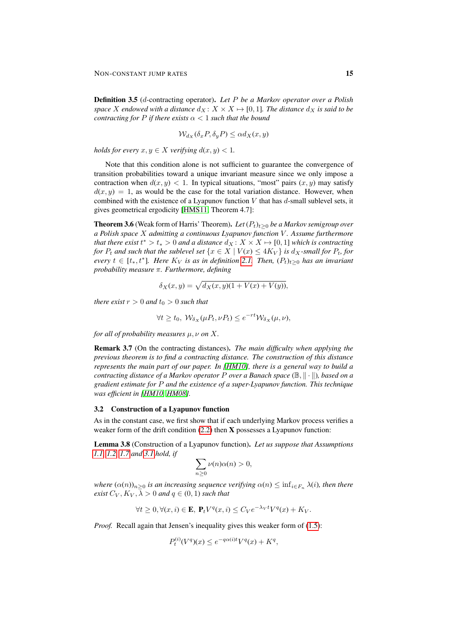Definition 3.5 (d-contracting operator). *Let* P *be a Markov operator over a Polish space* X endowed with a distance  $d_X: X \times X \mapsto [0, 1]$ . The distance  $d_X$  is said to be *contracting for*  $P$  *if there exists*  $\alpha < 1$  *such that the bound* 

$$
\mathcal{W}_{d_X}(\delta_x P, \delta_y P) \le \alpha d_X(x, y)
$$

*holds for every*  $x, y \in X$  *verifying*  $d(x, y) < 1$ .

Note that this condition alone is not sufficient to guarantee the convergence of transition probabilities toward a unique invariant measure since we only impose a contraction when  $d(x, y) < 1$ . In typical situations, "most" pairs  $(x, y)$  may satisfy  $d(x, y) = 1$ , as would be the case for the total variation distance. However, when combined with the existence of a Lyapunov function  $V$  that has  $d$ -small sublevel sets, it gives geometrical ergodicity [\[HMS11,](#page-27-16) Theorem 4.7]:

<span id="page-14-1"></span>**Theorem 3.6** (Weak form of Harris' Theorem). *Let*  $(P_t)_{t>0}$  *be a Markov semigroup over a Polish space* X *admitting a continuous Lyapunov function* V *. Assume furthermore that there exist*  $t^* > t_* > 0$  *and a distance*  $d_X : X \times X \mapsto [0, 1]$  *which is contracting for*  $P_t$  *and such that the sublevel set*  $\{x \in X \mid V(x) \leq 4K_V\}$  *is d<sub>X</sub>*-small for  $P_t$ , for  $every \ t \in [t_*, t^*]$ *. Here*  $K_V$  *is as in definition* [2.1.](#page-6-7) Then,  $(P_t)_{t\geq 0}$  has an invariant *probability measure* π*. Furthermore, defining*

$$
\delta_X(x,y) = \sqrt{d_X(x,y)(1+V(x)+V(y))},
$$

*there exist*  $r > 0$  *and*  $t<sub>0</sub> > 0$  *such that* 

$$
\forall t \ge t_0, \ \mathcal{W}_{\delta_X}(\mu P_t, \nu P_t) \le e^{-rt} \mathcal{W}_{\delta_X}(\mu, \nu),
$$

*for all of probability measures* µ, ν *on* X*.*

Remark 3.7 (On the contracting distances). *The main difficulty when applying the previous theorem is to find a contracting distance. The construction of this distance represents the main part of our paper. In [\[HM10\]](#page-27-17), there is a general way to build a contracting distance of a Markov operator* P *over a Banach space* ( $\mathbb{B}, \|\cdot\|$ ), based on a *gradient estimate for* P *and the existence of a super-Lyapunov function. This technique was efficient in [\[HM10,](#page-27-17) [HM08\]](#page-27-15).*

#### 3.2 Construction of a Lyapunov function

As in the constant case, we first show that if each underlying Markov process verifies a weaker form of the drift condition [\(2.2\)](#page-6-1) then **X** possesses a Lyapunov function:

<span id="page-14-0"></span>Lemma 3.8 (Construction of a Lyapunov function). *Let us suppose that Assumptions [1.1,](#page-2-0) [1.2,](#page-2-1) [1.7](#page-5-0) and [3.1](#page-12-2) hold, if*

$$
\sum_{n\geq 0} \nu(n)\alpha(n) > 0,
$$

*where*  $(\alpha(n))_{n>0}$  *is an increasing sequence verifying*  $\alpha(n) \leq \inf_{i \in F_n} \lambda(i)$ *, then there exist*  $C_V$ ,  $K_V$ ,  $\overline{\lambda} > 0$  *and*  $q \in (0,1)$  *such that* 

$$
\forall t \ge 0, \forall (x, i) \in \mathbf{E}, \ \mathbf{P}_t V^q(x, i) \le C_V e^{-\lambda_V t} V^q(x) + K_V.
$$

*Proof.* Recall again that Jensen's inequality gives this weaker form of [\(1.5\)](#page-4-3):

$$
P_t^{(i)}(V^q)(x) \le e^{-q\alpha(i)t}V^q(x) + K^q,
$$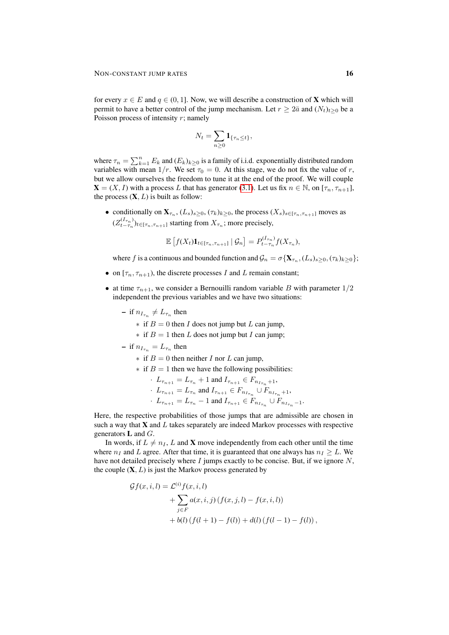for every  $x \in E$  and  $q \in (0, 1]$ . Now, we will describe a construction of **X** which will permit to have a better control of the jump mechanism. Let  $r \geq 2\bar{a}$  and  $(N_t)_{t>0}$  be a Poisson process of intensity  $r$ ; namely

$$
N_t = \sum_{n\geq 0} {\bf 1}_{\{\tau_n\leq t\}},
$$

where  $\tau_n = \sum_{k=1}^n E_k$  and  $(E_k)_{k \geq 0}$  is a family of i.i.d. exponentially distributed random variables with mean  $1/r$ . We set  $\tau_0 = 0$ . At this stage, we do not fix the value of r, but we allow ourselves the freedom to tune it at the end of the proof. We will couple  $\mathbf{X} = (X, I)$  with a process L that has generator [\(3.1\)](#page-12-3). Let us fix  $n \in \mathbb{N}$ , on  $[\tau_n, \tau_{n+1}]$ , the process  $(X, L)$  is built as follow:

• conditionally on  $\mathbf{X}_{\tau_n}$ ,  $(L_s)_{s\geq0}$ ,  $(\tau_k)_{k\geq0}$ , the process  $(X_s)_{s\in[\tau_n,\tau_{n+1}]}$  moves as  $(Z_{t-\tau_n}^{(I_{\tau_n})})_{t\in[\tau_n,\tau_{n+1}]}$  starting from  $X_{\tau_n}$ ; more precisely,

$$
\mathbb{E}\left[f(X_t)\mathbf{1}_{t\in[\tau_n,\tau_{n+1}]}\,|\,\mathcal{G}_n\right] = P_{t-\tau_n}^{(I_{\tau_n})}f(X_{\tau_n}),
$$

where f is a continuous and bounded function and  $\mathcal{G}_n = \sigma\{\mathbf{X}_{\tau_n}, (L_s)_{s\geq 0}, (\tau_k)_{k\geq 0}\};$ 

- on  $[\tau_n, \tau_{n+1})$ , the discrete processes I and L remain constant;
- at time  $\tau_{n+1}$ , we consider a Bernouilli random variable B with parameter  $1/2$ independent the previous variables and we have two situations:

- if 
$$
n_{I_{\tau_n}} \neq L_{\tau_n}
$$
 then

 $\ast$  if  $B = 0$  then *I* does not jump but *L* can jump,

 $\ast$  if  $B = 1$  then L does not jump but I can jump;

- if 
$$
n_{I_{\tau_n}} = L_{\tau_n}
$$
 then

 $\ast$  if  $B = 0$  then neither I nor L can jump,

\* if 
$$
B = 1
$$
 then we have the following possibilities:

$$
L_{\tau_{n+1}} = L_{\tau_n} + 1 \text{ and } I_{\tau_{n+1}} \in F_{n_{I_{\tau_n}}} + 1,
$$
  
\n
$$
L_{\tau_{n+1}} = L_{\tau_n} \text{ and } I_{\tau_{n+1}} \in F_{n_{I_{\tau_n}}} \cup F_{n_{I_{\tau_n}}} + 1,
$$
  
\n
$$
L_{\tau_{n+1}} = L_{\tau_n} - 1 \text{ and } I_{\tau_{n+1}} \in F_{n_{I_{\tau_n}}} \cup F_{n_{I_{\tau_n}}} - 1.
$$

Here, the respective probabilities of those jumps that are admissible are chosen in such a way that  $X$  and  $L$  takes separately are indeed Markov processes with respective generators  $L$  and  $G$ .

In words, if  $L \neq n_I$ , L and **X** move independently from each other until the time where  $n_I$  and L agree. After that time, it is guaranteed that one always has  $n_I \geq L$ . We have not detailed precisely where  $I$  jumps exactly to be concise. But, if we ignore  $N$ , the couple  $(X, L)$  is just the Markov process generated by

$$
\mathcal{G}f(x, i, l) = \mathcal{L}^{(i)}f(x, i, l) \n+ \sum_{j \in F} a(x, i, j) (f(x, j, l) - f(x, i, l)) \n+ b(l) (f(l + 1) - f(l)) + d(l) (f(l - 1) - f(l)),
$$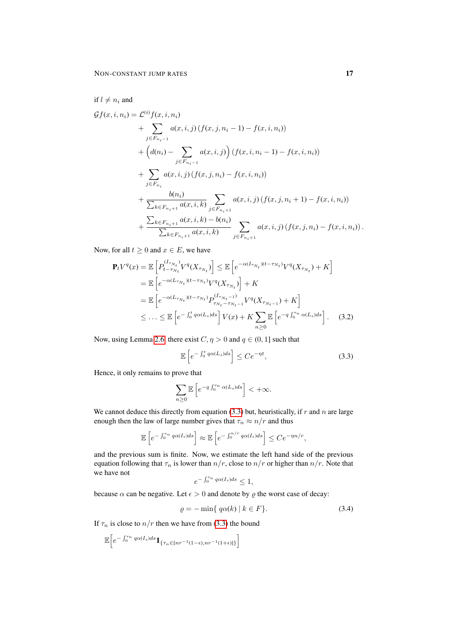if  $l \neq n_i$  and

$$
Gf(x, i, n_i) = \mathcal{L}^{(i)}f(x, i, n_i)
$$
  
+ 
$$
\sum_{j \in F_{n_i-1}} a(x, i, j) (f(x, j, n_i - 1) - f(x, i, n_i))
$$
  
+ 
$$
(d(n_i) - \sum_{j \in F_{n_i-1}} a(x, i, j) (f(x, i, n_i - 1) - f(x, i, n_i))
$$
  
+ 
$$
\sum_{j \in F_{n_i}} a(x, i, j) (f(x, j, n_i) - f(x, i, n_i))
$$
  
+ 
$$
\frac{b(n_i)}{\sum_{k \in F_{n_i+1}} a(x, i, k)} \sum_{j \in F_{n_i+1}} a(x, i, j) (f(x, j, n_i + 1) - f(x, i, n_i))
$$
  
+ 
$$
\frac{\sum_{k \in F_{n_i+1}} a(x, i, k) - b(n_i)}{\sum_{k \in F_{n_i+1}} a(x, i, k)} \sum_{j \in F_{n_i+1}} a(x, i, j) (f(x, j, n_i) - f(x, i, n_i)).
$$

Now, for all  $t \geq 0$  and  $x \in E$ , we have

$$
\mathbf{P}_{t}V^{q}(x) = \mathbb{E}\left[P_{t-\tau_{N_{t}}}^{(I_{\tau_{N_{t}}})}V^{q}(X_{\tau_{N_{t}}})\right] \leq \mathbb{E}\left[e^{-\alpha(I_{\tau_{N_{t}}})(t-\tau_{N_{t}})}V^{q}(X_{\tau_{N_{t}}})+K\right]
$$
\n
$$
= \mathbb{E}\left[e^{-\alpha(L_{\tau_{N_{t}}})(t-\tau_{N_{t}})}V^{q}(X_{\tau_{N_{t}}})\right] + K
$$
\n
$$
= \mathbb{E}\left[e^{-\alpha(L_{\tau_{N_{t}}})(t-\tau_{N_{t}})}P_{\tau_{N_{t}}-\tau_{N_{t}-1}}^{(I_{\tau_{N_{t}}}-1)}V^{q}(X_{\tau_{N_{t}-1}}) + K\right]
$$
\n
$$
\leq \ldots \leq \mathbb{E}\left[e^{-\int_{0}^{t}q\alpha(L_{s})ds}\right]V(x) + K\sum_{n\geq 0}\mathbb{E}\left[e^{-q\int_{0}^{\tau_{n}}\alpha(L_{s})ds}\right]. \quad (3.2)
$$

Now, using Lemma [2.6,](#page-7-0) there exist  $C, \eta > 0$  and  $q \in (0, 1]$  such that

<span id="page-16-1"></span><span id="page-16-0"></span>
$$
\mathbb{E}\left[e^{-\int_0^t q\alpha(L_s)ds}\right] \le Ce^{-\eta t},\tag{3.3}
$$

Hence, it only remains to prove that

$$
\sum_{n\geq 0} \mathbb{E}\left[e^{-q\int_0^{\tau_n} \alpha(L_s)ds}\right] < +\infty.
$$

We cannot deduce this directly from equation [\(3.3\)](#page-16-0) but, heuristically, if r and n are large enough then the law of large number gives that  $\tau_n \approx n/r$  and thus

$$
\mathbb{E}\left[e^{-\int_0^{\tau_n} q\alpha(I_s)ds}\right] \approx \mathbb{E}\left[e^{-\int_0^{n/r} q\alpha(I_s)ds}\right] \le Ce^{-\eta n/r},
$$

and the previous sum is finite. Now, we estimate the left hand side of the previous equation following that  $\tau_n$  is lower than  $n/r$ , close to  $n/r$  or higher than  $n/r$ . Note that we have not

<span id="page-16-2"></span>
$$
e^{-\int_0^{\tau_n} q\alpha(I_s)ds} \le 1,
$$

because  $\alpha$  can be negative. Let  $\epsilon > 0$  and denote by  $\varrho$  the worst case of decay:

$$
\varrho = -\min\{q\alpha(k) \mid k \in F\}.
$$
\n(3.4)

If  $\tau_n$  is close to  $n/r$  then we have from [\(3.3\)](#page-16-0) the bound

 $\mathbb{E}\Big[e^{-\int_0^{\tau_n}q\alpha(I_s)ds}\mathbf{1}_{\{\tau_n\in[nr^{-1}(1-\epsilon),nr^{-1}(1+\epsilon)]\}}\Big]$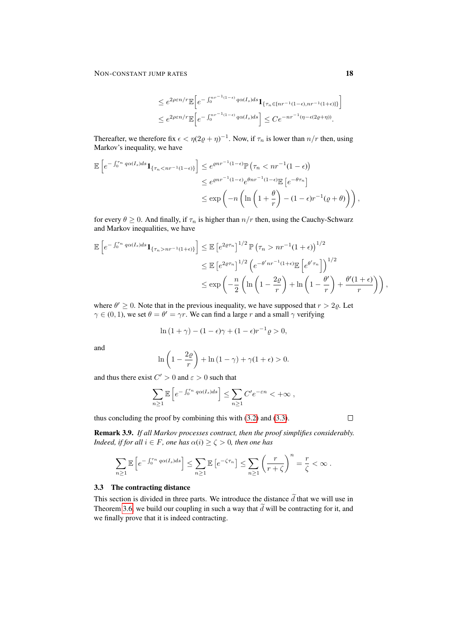$$
\leq e^{2\rho \varepsilon n/r} \mathbb{E}\Big[e^{-\int_0^{nr^{-1}(1-\epsilon)} q\alpha(I_s)ds} \mathbf{1}_{\{\tau_n \in [nr^{-1}(1-\epsilon), nr^{-1}(1+\epsilon)]\}}\Big]
$$
  

$$
\leq e^{2\rho \varepsilon n/r} \mathbb{E}\Big[e^{-\int_0^{nr^{-1}(1-\epsilon)} q\alpha(I_s)ds}\Big] \leq Ce^{-nr^{-1}(\eta - \epsilon(2\varrho + \eta))}.
$$

Thereafter, we therefore fix  $\epsilon < \eta(2\rho + \eta)^{-1}$ . Now, if  $\tau_n$  is lower than  $n/r$  then, using Markov's inequality, we have

$$
\mathbb{E}\left[e^{-\int_0^{\tau_n} q\alpha(I_s)ds}\mathbf{1}_{\{\tau_n < nr^{-1}(1-\epsilon)\}}\right] \leq e^{anr^{-1}(1-\epsilon)}\mathbb{P}\left(\tau_n < nr^{-1}(1-\epsilon)\right)
$$
\n
$$
\leq e^{anr^{-1}(1-\epsilon)}e^{\theta nr^{-1}(1-\epsilon)}\mathbb{E}\left[e^{-\theta\tau_n}\right]
$$
\n
$$
\leq \exp\left(-n\left(\ln\left(1+\frac{\theta}{r}\right)-(1-\epsilon)r^{-1}(\varrho+\theta)\right)\right),
$$

for every  $\theta \ge 0$ . And finally, if  $\tau_n$  is higher than  $n/r$  then, using the Cauchy-Schwarz and Markov inequalities, we have

$$
\mathbb{E}\left[e^{-\int_0^{\tau_n} q\alpha(I_s)ds}\mathbf{1}_{\{\tau_n > nr^{-1}(1+\epsilon)\}}\right] \leq \mathbb{E}\left[e^{2\varrho\tau_n}\right]^{1/2} \mathbb{P}\left(\tau_n > nr^{-1}(1+\epsilon)\right)^{1/2}
$$

$$
\leq \mathbb{E}\left[e^{2\varrho\tau_n}\right]^{1/2} \left(e^{-\theta'nr^{-1}(1+\epsilon)}\mathbb{E}\left[e^{\theta'\tau_n}\right]\right)^{1/2}
$$

$$
\leq \exp\left(-\frac{n}{2}\left(\ln\left(1-\frac{2\varrho}{r}\right) + \ln\left(1-\frac{\theta'}{r}\right) + \frac{\theta'(1+\epsilon)}{r}\right)\right),
$$

where  $\theta' \geq 0$ . Note that in the previous inequality, we have supposed that  $r > 2\varrho$ . Let  $\gamma \in (0, 1)$ , we set  $\theta = \theta' = \gamma r$ . We can find a large r and a small  $\gamma$  verifying

$$
\ln(1+\gamma) - (1-\epsilon)\gamma + (1-\epsilon)r^{-1}\varrho > 0,
$$

and

$$
\ln\left(1-\frac{2\varrho}{r}\right) + \ln\left(1-\gamma\right) + \gamma(1+\epsilon) > 0.
$$

and thus there exist  $C' > 0$  and  $\varepsilon > 0$  such that

$$
\sum_{n\geq 1} \mathbb{E}\left[e^{-\int_0^{\tau_n} q\alpha(I_s)ds}\right] \leq \sum_{n\geq 1} C'e^{-\varepsilon n} <+\infty,
$$

thus concluding the proof by combining this with [\(3.2\)](#page-16-1) and [\(3.3\)](#page-16-0).

 $\Box$ 

Remark 3.9. *If all Markov processes contract, then the proof simplifies considerably. Indeed, if for all*  $i \in F$ *, one has*  $\alpha(i) \geq \zeta > 0$ *, then one has* 

$$
\sum_{n\geq 1}\mathbb{E}\left[e^{-\int_0^{\tau_n}q\alpha(I_s)ds}\right]\leq \sum_{n\geq 1}\mathbb{E}\left[e^{-\zeta\tau_n}\right]\leq \sum_{n\geq 1}\left(\frac{r}{r+\zeta}\right)^n=\frac{r}{\zeta}<\infty.
$$

### 3.3 The contracting distance

This section is divided in three parts. We introduce the distance  $\tilde{d}$  that we will use in Theorem [3.6,](#page-14-1) we build our coupling in such a way that  $\tilde{d}$  will be contracting for it, and we finally prove that it is indeed contracting.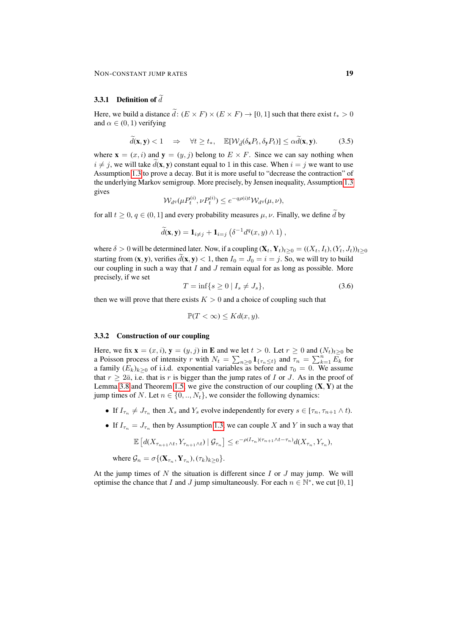#### 3.3.1 Definition of  $\tilde{d}$

Here, we build a distance  $\tilde{d}: (E \times F) \times (E \times F) \rightarrow [0, 1]$  such that there exist  $t_* > 0$ and  $\alpha \in (0, 1)$  verifying

$$
\widetilde{d}(\mathbf{x}, \mathbf{y}) < 1 \quad \Rightarrow \quad \forall t \ge t_*, \quad \mathbb{E}[\mathcal{W}_{\widetilde{d}}(\delta_{\mathbf{x}} P_t, \delta_{\mathbf{y}} P_t)] \le \alpha \widetilde{d}(\mathbf{x}, \mathbf{y}). \tag{3.5}
$$

where  $\mathbf{x} = (x, i)$  and  $\mathbf{y} = (y, j)$  belong to  $E \times F$ . Since we can say nothing when  $i \neq j$ , we will take  $d(x, y)$  constant equal to 1 in this case. When  $i = j$  we want to use Assumption [1.3](#page-3-1) to prove a decay. But it is more useful to "decrease the contraction" of the underlying Markov semigroup. More precisely, by Jensen inequality, Assumption [1.3](#page-3-1) gives

$$
\mathcal{W}_{d^q}(\mu P_t^{(i)}, \nu P_t^{(i)}) \le e^{-q\rho(i)t} \mathcal{W}_{d^q}(\mu, \nu),
$$

for all  $t \geq 0$ ,  $q \in (0, 1]$  and every probability measures  $\mu$ ,  $\nu$ . Finally, we define  $\tilde{d}$  by

$$
\widetilde{d}(\mathbf{x}, \mathbf{y}) = \mathbf{1}_{i \neq j} + \mathbf{1}_{i = j} \left( \delta^{-1} d^q(x, y) \wedge 1 \right),
$$

where  $\delta > 0$  will be determined later. Now, if a coupling  $(\mathbf{X}_t, \mathbf{Y}_t)_{t>0} = ((X_t, I_t), (Y_t, J_t))_{t>0}$ starting from  $(x, y)$ , verifies  $d(x, y) < 1$ , then  $I_0 = J_0 = i = j$ . So, we will try to build our coupling in such a way that  $I$  and  $J$  remain equal for as long as possible. More precisely, if we set

<span id="page-18-0"></span>
$$
T = \inf\{s \ge 0 \mid I_s \ne J_s\},\tag{3.6}
$$

then we will prove that there exists  $K > 0$  and a choice of coupling such that

$$
\mathbb{P}(T < \infty) \leq K d(x, y).
$$

#### 3.3.2 Construction of our coupling

Here, we fix  $\mathbf{x} = (x, i)$ ,  $\mathbf{y} = (y, j)$  in **E** and we let  $t > 0$ . Let  $r \ge 0$  and  $(N_t)_{t>0}$  be a Poisson process of intensity r with  $N_t = \sum_{n\geq 0} \mathbf{1}_{\{\tau_n \leq t\}}$  and  $\overline{\tau}_n = \sum_{k=1}^n E_k$  for a family  $(E_k)_{k>0}$  of i.i.d. exponential variables as before and  $\tau_0 = 0$ . We assume that  $r \geq 2\bar{a}$ , i.e. that is r is bigger than the jump rates of I or J. As in the proof of Lemma [3.8](#page-14-0) and Theorem [1.5,](#page-4-1) we give the construction of our coupling  $(X, Y)$  at the jump times of N. Let  $n \in \{0, ..., N_t\}$ , we consider the following dynamics:

- If  $I_{\tau_n} \neq J_{\tau_n}$  then  $X_s$  and  $Y_s$  evolve independently for every  $s \in [\tau_n, \tau_{n+1} \wedge t)$ .
- If  $I_{\tau_n} = J_{\tau_n}$  then by Assumption [1.3,](#page-3-1) we can couple X and Y in such a way that

$$
\mathbb{E}\left[d(X_{\tau_{n+1}\wedge t}, Y_{\tau_{n+1}\wedge t}) \mid \mathcal{G}_{\tau_n}\right] \le e^{-\rho(I_{\tau_n})(\tau_{n+1}\wedge t - \tau_n)}d(X_{\tau_n}, Y_{\tau_n}),
$$

where  $\mathcal{G}_n = \sigma\{(\mathbf{X}_{\tau_n}, \mathbf{Y}_{\tau_n}), (\tau_k)_{k \geq 0}\}.$ 

At the jump times of  $N$  the situation is different since  $I$  or  $J$  may jump. We will optimise the chance that I and J jump simultaneously. For each  $n \in \mathbb{N}^*$ , we cut [0, 1]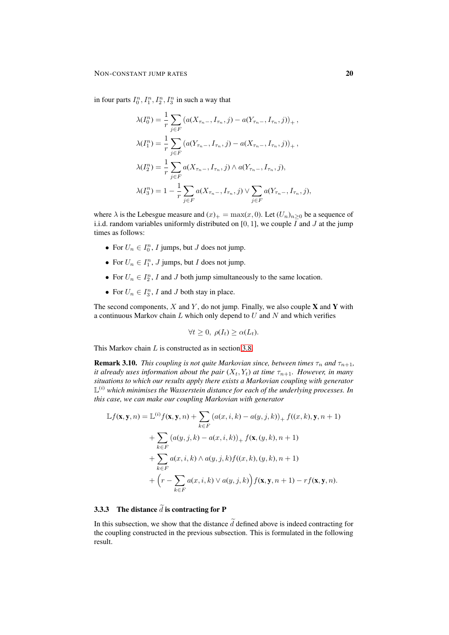in four parts  $I_0^n$ ,  $I_1^n$ ,  $I_2^n$ ,  $I_3^n$  in such a way that

$$
\lambda(I_0^n) = \frac{1}{r} \sum_{j \in F} \left( a(X_{\tau_n -}, I_{\tau_n}, j) - a(Y_{\tau_n -}, I_{\tau_n}, j) \right)_+,
$$
  
\n
$$
\lambda(I_1^n) = \frac{1}{r} \sum_{j \in F} \left( a(Y_{\tau_n -}, I_{\tau_n}, j) - a(X_{\tau_n -}, I_{\tau_n}, j) \right)_+,
$$
  
\n
$$
\lambda(I_2^n) = \frac{1}{r} \sum_{j \in F} a(X_{\tau_n -}, I_{\tau_n}, j) \wedge a(Y_{\tau_n -}, I_{\tau_n}, j),
$$
  
\n
$$
\lambda(I_3^n) = 1 - \frac{1}{r} \sum_{j \in F} a(X_{\tau_n -}, I_{\tau_n}, j) \vee \sum_{j \in F} a(Y_{\tau_n -}, I_{\tau_n}, j),
$$

where  $\lambda$  is the Lebesgue measure and  $(x)_{+} = \max(x, 0)$ . Let  $(U_n)_{n>0}$  be a sequence of i.i.d. random variables uniformly distributed on  $[0, 1]$ , we couple I and J at the jump times as follows:

- For  $U_n \in I_0^n$ , I jumps, but J does not jump.
- For  $U_n \in I_1^n$ , *J* jumps, but *I* does not jump.
- For  $U_n \in I_2^n$ , I and J both jump simultaneously to the same location.
- For  $U_n \in I_3^n$ , I and J both stay in place.

The second components,  $X$  and  $Y$ , do not jump. Finally, we also couple  $X$  and  $Y$  with a continuous Markov chain  $L$  which only depend to  $U$  and  $N$  and which verifies

$$
\forall t \geq 0, \ \rho(I_t) \geq \alpha(L_t).
$$

This Markov chain L is constructed as in section [3.8.](#page-14-0)

**Remark 3.10.** *This coupling is not quite Markovian since, between times*  $\tau_n$  *and*  $\tau_{n+1}$ *, it already uses information about the pair*  $(X_t, Y_t)$  *at time*  $\tau_{n+1}$ *. However, in many situations to which our results apply there exists a Markovian coupling with generator*  $\mathbb{L}^{(i)}$  which minimises the Wasserstein distance for each of the underlying processes. In *this case, we can make our coupling Markovian with generator*

$$
\mathbb{L}f(\mathbf{x}, \mathbf{y}, n) = \mathbb{L}^{(i)}f(\mathbf{x}, \mathbf{y}, n) + \sum_{k \in F} (a(x, i, k) - a(y, j, k))_{+} f((x, k), \mathbf{y}, n + 1)
$$
  
+ 
$$
\sum_{k \in F} (a(y, j, k) - a(x, i, k))_{+} f(\mathbf{x}, (y, k), n + 1)
$$
  
+ 
$$
\sum_{k \in F} a(x, i, k) \wedge a(y, j, k) f((x, k), (y, k), n + 1)
$$
  
+ 
$$
\left(r - \sum_{k \in F} a(x, i, k) \vee a(y, j, k)\right) f(\mathbf{x}, \mathbf{y}, n + 1) - rf(\mathbf{x}, \mathbf{y}, n).
$$

## 3.3.3 The distance  $\tilde{d}$  is contracting for P

In this subsection, we show that the distance  $\tilde{d}$  defined above is indeed contracting for the coupling constructed in the previous subsection. This is formulated in the following result.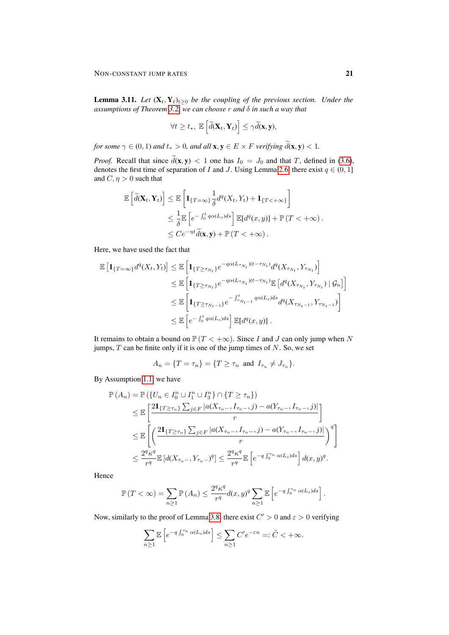<span id="page-20-0"></span>**Lemma 3.11.** *Let*  $(X_t, Y_t)_{t\geq0}$  *be the coupling of the previous section. Under the assumptions of Theorem [3.2,](#page-12-1) we can choose* r *and* δ *in such a way that*

$$
\forall t \geq t_*, \ \mathbb{E}\left[\widetilde{d}(\mathbf{X}_t, \mathbf{Y}_t)\right] \leq \gamma \widetilde{d}(\mathbf{x}, \mathbf{y}),
$$

*for some*  $\gamma \in (0, 1)$  *and*  $t_* > 0$ *, and all*  $\mathbf{x}, \mathbf{y} \in E \times F$  *verifying*  $\tilde{d}(\mathbf{x}, \mathbf{y}) < 1$ *.* 

*Proof.* Recall that since  $\tilde{d}(\mathbf{x}, \mathbf{y}) < 1$  one has  $I_0 = J_0$  and that T, defined in [\(3.6\)](#page-18-0), denotes the first time of separation of I and J. Using Lemma [2.6,](#page-7-0) there exist  $q \in (0, 1]$ and  $C, \eta > 0$  such that

$$
\mathbb{E}\left[\tilde{d}(\mathbf{X}_t, \mathbf{Y}_t)\right] \leq \mathbb{E}\left[\mathbf{1}_{\{T=\infty\}} \frac{1}{\delta} d^q(X_t, Y_t) + \mathbf{1}_{\{T<+\infty\}}\right] \n\leq \frac{1}{\delta} \mathbb{E}\left[e^{-\int_0^t q\alpha(L_s)ds}\right] \mathbb{E}[d^q(x, y)] + \mathbb{P}(T<+\infty) \n\leq Ce^{-\eta t} \tilde{d}(\mathbf{x}, \mathbf{y}) + \mathbb{P}(T<+\infty).
$$

Here, we have used the fact that

$$
\mathbb{E}\left[\mathbf{1}_{\{T=\infty\}}d^{q}(X_{t},Y_{t})\right] \leq \mathbb{E}\left[\mathbf{1}_{\{T\geq\tau_{N_{t}}\}}e^{-q\alpha(L_{\tau_{N_{t}}})(t-\tau_{N_{t}})}d^{q}(X_{\tau_{N_{t}}},Y_{\tau_{N_{t}}})\right]
$$
\n
$$
\leq \mathbb{E}\left[\mathbf{1}_{\{T\geq\tau_{N_{t}}\}}e^{-q\alpha(L_{\tau_{N_{t}}})(t-\tau_{N_{t}})}\mathbb{E}\left[d^{q}(X_{\tau_{N_{t}}},Y_{\tau_{N_{t}}})\mid\mathcal{G}_{n}\right]\right]
$$
\n
$$
\leq \mathbb{E}\left[\mathbf{1}_{\{T\geq\tau_{N_{t}-1}\}}e^{-\int_{\tau_{N_{t}-1}}^{t}q\alpha(L_{s})ds}d^{q}(X_{\tau_{N_{t}-1}},Y_{\tau_{N_{t}-1}})\right]
$$
\n
$$
\leq \mathbb{E}\left[e^{-\int_{0}^{t}q\alpha(L_{s})ds}\right]\mathbb{E}[d^{q}(x,y)].
$$

It remains to obtain a bound on  $\mathbb{P}(T < +\infty)$ . Since I and J can only jump when N jumps,  $T$  can be finite only if it is one of the jump times of  $N$ . So, we set

$$
A_n = \{T = \tau_n\} = \{T \ge \tau_n \text{ and } I_{\tau_n} \ne J_{\tau_n}\}.
$$

By Assumption [1.1,](#page-2-0) we have

$$
\mathbb{P}(A_n) = \mathbb{P}(\{U_n \in I_0^n \cup I_1^n \cup I_3^n\} \cap \{T \ge \tau_n\})
$$
\n
$$
\leq \mathbb{E}\left[\frac{2\mathbf{1}_{\{T \ge \tau_n\}} \sum_{j \in F} |a(X_{\tau_n-}, I_{\tau_n-}, j) - a(Y_{\tau_n-}, I_{\tau_n-}, j)|}{r}\right]
$$
\n
$$
\leq \mathbb{E}\left[\left(\frac{2\mathbf{1}_{\{T \ge \tau_n\}} \sum_{j \in F} |a(X_{\tau_n-}, I_{\tau_n-}, j) - a(Y_{\tau_n-}, I_{\tau_n-}, j)|}{r}\right)^q\right]
$$
\n
$$
\leq \frac{2^q \kappa^q}{r^q} \mathbb{E}\left[d(X_{\tau_n-}, Y_{\tau_n-})^q\right] \leq \frac{2^q \kappa^q}{r^q} \mathbb{E}\left[e^{-q \int_0^{\tau_n} \alpha(L_s) ds}\right] d(x, y)^q.
$$

Hence

$$
\mathbb{P}\left(T < \infty\right) = \sum_{n\geq 1} \mathbb{P}\left(A_n\right) \leq \frac{2^q \kappa^q}{r^q} d(x, y)^q \sum_{n\geq 1} \mathbb{E}\left[e^{-q \int_0^{\tau_n} \alpha(L_s) ds}\right].
$$

Now, similarly to the proof of Lemma [3.8,](#page-14-0) there exist  $C' > 0$  and  $\varepsilon > 0$  verifying

$$
\sum_{n\geq 1} \mathbb{E}\left[e^{-q\int_0^{\tau_n} \alpha(L_s)ds}\right] \leq \sum_{n\geq 1} C'e^{-\varepsilon n} =: \tilde{C} < +\infty.
$$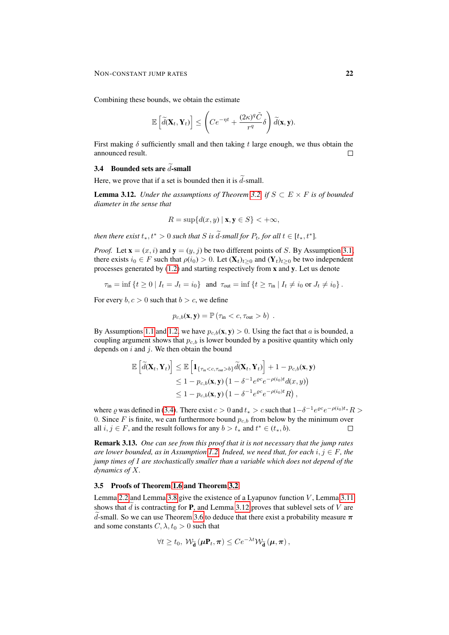Combining these bounds, we obtain the estimate

$$
\mathbb{E}\left[\widetilde{d}(\mathbf{X}_t,\mathbf{Y}_t)\right] \leq \left(Ce^{-\eta t} + \frac{(2\kappa)^q \widetilde{C}}{r^q} \delta\right) \widetilde{d}(\mathbf{x}, \mathbf{y}).
$$

First making  $\delta$  sufficiently small and then taking t large enough, we thus obtain the announced result. П

## 3.4 Bounded sets are  $\tilde{d}$ -small

Here, we prove that if a set is bounded then it is  $\tilde{d}$ -small.

<span id="page-21-0"></span>**Lemma 3.12.** *Under the assumptions of Theorem [3.2,](#page-12-1) if*  $S \subset E \times F$  *is of bounded diameter in the sense that*

$$
R = \sup\{d(x, y) \mid \mathbf{x}, \mathbf{y} \in S\} < +\infty,
$$

*then there exist*  $t_*, t^* > 0$  *such that S is*  $\tilde{d}$ -*small for*  $P_t$ *, for all*  $t \in [t_*, t^*]$ *.* 

*Proof.* Let  $\mathbf{x} = (x, i)$  and  $\mathbf{y} = (y, j)$  be two different points of S. By Assumption [3.1,](#page-12-2) there exists  $i_0 \in F$  such that  $\rho(i_0) > 0$ . Let  $(\mathbf{X}_t)_{t>0}$  and  $(\mathbf{Y}_t)_{t>0}$  be two independent processes generated by [\(1.2\)](#page-2-2) and starting respectively from x and y. Let us denote

 $\tau_{\text{in}} = \inf \{ t \ge 0 \mid I_t = J_t = i_0 \}$  and  $\tau_{\text{out}} = \inf \{ t \ge \tau_{\text{in}} \mid I_t \ne i_0 \text{ or } J_t \ne i_0 \}$ .

For every  $b, c > 0$  such that  $b > c$ , we define

$$
p_{c,b}(\mathbf{x}, \mathbf{y}) = \mathbb{P}(\tau_{\text{in}} < c, \tau_{\text{out}} > b) .
$$

By Assumptions [1.1](#page-2-0) and [1.2,](#page-2-1) we have  $p_{c,b}(\mathbf{x}, \mathbf{y}) > 0$ . Using the fact that a is bounded, a coupling argument shows that  $p_{c,b}$  is lower bounded by a positive quantity which only depends on  $i$  and  $j$ . We then obtain the bound

$$
\mathbb{E}\left[\widetilde{d}(\mathbf{X}_t, \mathbf{Y}_t)\right] \leq \mathbb{E}\left[\mathbf{1}_{\{\tau_{\text{in}} < c, \tau_{\text{out}} > b\}}\widetilde{d}(\mathbf{X}_t, \mathbf{Y}_t)\right] + 1 - p_{c,b}(\mathbf{x}, \mathbf{y})
$$
  
\n
$$
\leq 1 - p_{c,b}(\mathbf{x}, \mathbf{y})\left(1 - \delta^{-1}e^{\theta c}e^{-\rho(i_0)t}d(x, y)\right)
$$
  
\n
$$
\leq 1 - p_{c,b}(\mathbf{x}, \mathbf{y})\left(1 - \delta^{-1}e^{\theta c}e^{-\rho(i_0)t}R\right),
$$

where  $\varrho$  was defined in [\(3.4\)](#page-16-2). There exist  $c > 0$  and  $t_* > c$  such that  $1 - \delta^{-1} e^{\varrho c} e^{-\rho(t_0)t_*} R > 0$ 0. Since F is finite, we can furthermore bound  $p_{c,b}$  from below by the minimum over all  $i, j \in F$ , and the result follows for any  $b > t_*$  and  $t^* \in (t_*, b)$ . П

Remark 3.13. *One can see from this proof that it is not necessary that the jump rates are lower bounded, as in Assumption [1.2.](#page-2-1) Indeed, we need that, for each*  $i, j \in F$ *, the jump times of* I *are stochastically smaller than a variable which does not depend of the dynamics of* X*.*

#### 3.5 Proofs of Theorem [1.6](#page-4-2) and Theorem [3.2](#page-12-1)

Lemma [2.2](#page-6-6) and Lemma [3.8](#page-14-0) give the existence of a Lyapunov function  $V$ , Lemma [3.11](#page-20-0) shows that  $d$  is contracting for **P**, and Lemma [3.12](#page-21-0) proves that sublevel sets of  $V$  are d-small. So we can use Theorem [3.6](#page-14-1) to deduce that there exist a probability measure  $\pi$ and some constants  $C, \lambda, t_0 > 0$  such that

$$
\forall t \geq t_0, \; \mathcal{W}_{\widetilde{\mathbf{d}}} \left( \boldsymbol{\mu} \mathbf{P}_t, \boldsymbol{\pi} \right) \leq C e^{-\lambda t} \mathcal{W}_{\widetilde{\mathbf{d}}} \left( \boldsymbol{\mu}, \boldsymbol{\pi} \right),
$$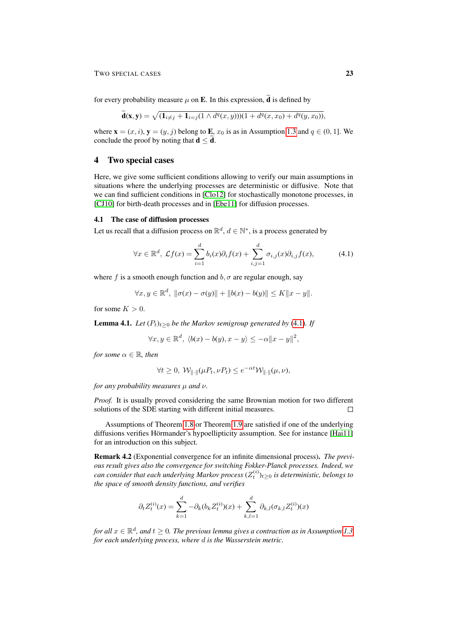for every probability measure  $\mu$  on **E**. In this expression,  $\tilde{d}$  is defined by

$$
\mathbf{d}(\mathbf{x}, \mathbf{y}) = \sqrt{(\mathbf{1}_{i \neq j} + \mathbf{1}_{i=j}(1 \wedge d^q(x, y)))(1 + d^q(x, x_0) + d^q(y, x_0))},
$$

where  $\mathbf{x} = (x, i)$ ,  $\mathbf{y} = (y, j)$  belong to **E**,  $x_0$  is as in Assumption [1.3](#page-3-1) and  $q \in (0, 1]$ . We conclude the proof by noting that  $d \le d$ .

## <span id="page-22-0"></span>4 Two special cases

Here, we give some sufficient conditions allowing to verify our main assumptions in situations where the underlying processes are deterministic or diffusive. Note that we can find sufficient conditions in [\[Clo12\]](#page-27-11) for stochastically monotone processes, in [\[CJ10\]](#page-27-18) for birth-death processes and in [\[Ebe11\]](#page-27-19) for diffusion processes.

### <span id="page-22-1"></span>4.1 The case of diffusion processes

Let us recall that a diffusion process on  $\mathbb{R}^d$ ,  $d \in \mathbb{N}^*$ , is a process generated by

<span id="page-22-2"></span>
$$
\forall x \in \mathbb{R}^d, \ \mathcal{L}f(x) = \sum_{i=1}^d b_i(x)\partial_i f(x) + \sum_{i,j=1}^d \sigma_{i,j}(x)\partial_{i,j} f(x),\tag{4.1}
$$

where f is a smooth enough function and  $b$ ,  $\sigma$  are regular enough, say

$$
\forall x, y \in \mathbb{R}^d, \|\sigma(x) - \sigma(y)\| + \|b(x) - b(y)\| \le K \|x - y\|.
$$

for some  $K > 0$ .

<span id="page-22-3"></span>**Lemma 4.1.** *Let*  $(P_t)_{t>0}$  *be the Markov semigroup generated by* [\(4.1\)](#page-22-2)*. If* 

$$
\forall x, y \in \mathbb{R}^d, \ \langle b(x) - b(y), x - y \rangle \le -\alpha \|x - y\|^2,
$$

*for some*  $\alpha \in \mathbb{R}$ *, then* 

$$
\forall t \geq 0, \ \mathcal{W}_{\|\cdot\|}(\mu P_t, \nu P_t) \leq e^{-\alpha t} \mathcal{W}_{\|\cdot\|}(\mu, \nu),
$$

*for any probability measures* µ *and* ν*.*

*Proof.* It is usually proved considering the same Brownian motion for two different solutions of the SDE starting with different initial measures.  $\Box$ 

Assumptions of Theorem [1.8](#page-5-1) or Theorem [1.9](#page-0-1) are satisfied if one of the underlying diffusions verifies Hörmander's hypoellipticity assumption. See for instance  $[Hai11]$  $[Hai11]$ for an introduction on this subject.

Remark 4.2 (Exponential convergence for an infinite dimensional process). *The previous result gives also the convergence for switching Fokker-Planck processes. Indeed, we*  $c$ an  $\emph{consider that each underlying Markov process }$   $(Z_t^{(i)})_{t\geq 0}$  is deterministic, belongs to *the space of smooth density functions, and verifies*

$$
\partial_t Z_t^{(i)}(x) = \sum_{k=1}^d -\partial_k (b_k Z_t^{(i)})(x) + \sum_{k,l=1}^d \partial_{k,l} (\sigma_{k,l} Z_t^{(i)})(x)
$$

*for all*  $x \in \mathbb{R}^d$ , and  $t \geq 0$ . The previous lemma gives a contraction as in Assumption [1.3,](#page-3-1) *for each underlying process, where* d *is the Wasserstein metric.*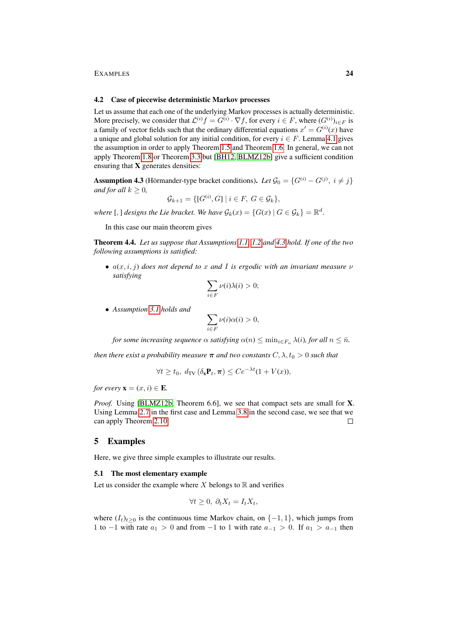#### <span id="page-23-1"></span>4.2 Case of piecewise deterministic Markov processes

Let us assume that each one of the underlying Markov processes is actually deterministic. More precisely, we consider that  $\mathcal{L}^{(i)}f = G^{(i)} \cdot \nabla f$ , for every  $i \in F$ , where  $(G^{(i)})_{i \in F}$  is a family of vector fields such that the ordinary differential equations  $x' = G^{(i)}(x)$  have a unique and global solution for any initial condition, for every  $i \in F$ . Lemma [4.1](#page-22-3) gives the assumption in order to apply Theorem [1.5](#page-4-1) and Theorem [1.6.](#page-4-2) In general, we can not apply Theorem [1.8](#page-5-1) or Theorem [3.3](#page-13-0) but [\[BH12,](#page-26-1) [BLMZ12b\]](#page-26-3) give a sufficient condition ensuring that X generates densities:

<span id="page-23-2"></span>**Assumption 4.3** (Hörmander-type bracket conditions). Let  $\mathcal{G}_0 = \{G^{(i)} - G^{(j)}, i \neq j\}$ *and for all*  $k \geq 0$ *,* 

$$
\mathcal{G}_{k+1} = \{ [G^{(i)}, G] \mid i \in F, G \in \mathcal{G}_k \},
$$

where  $\llbracket , \rrbracket$  designs the Lie bracket. We have  $\mathcal{G}_k(x) = \{ G(x) \mid G \in \mathcal{G}_k \} = \mathbb{R}^d$ .

In this case our main theorem gives

Theorem 4.4. *Let us suppose that Assumptions [1.1,](#page-2-0) [1.2](#page-2-1) and [4.3](#page-23-2) hold. If one of the two following assumptions is satisfied:*

• a(x, i, j) *does not depend to* x *and* I *is ergodic with an invariant measure* ν *satisfying*

$$
\sum_{i \in F} \nu(i)\lambda(i) > 0;
$$

• *Assumption [3.1](#page-12-2) holds and*

$$
\sum_{i \in F} \nu(i)\alpha(i) > 0,
$$

*for some increasing sequence*  $\alpha$  *satisfying*  $\alpha(n) \leq \min_{i \in F_n} \lambda(i)$ *, for all*  $n \leq \bar{n}$ *.* 

*then there exist a probability measure*  $\pi$  *and two constants*  $C, \lambda, t_0 > 0$  *such that* 

$$
\forall t \ge t_0, \ d_{\text{TV}}\left(\delta_{\mathbf{x}} \mathbf{P}_t, \boldsymbol{\pi}\right) \le C e^{-\lambda t} (1 + V(x)),
$$

*for every*  $\mathbf{x} = (x, i) \in \mathbf{E}$ *.* 

*Proof.* Using [\[BLMZ12b,](#page-26-3) Theorem 6.6], we see that compact sets are small for **X**. Using Lemma [2.7](#page-8-0) in the first case and Lemma [3.8](#page-14-0) in the second case, we see that we can apply Theorem [2.10.](#page-11-1)  $\Box$ 

## <span id="page-23-0"></span>5 Examples

Here, we give three simple examples to illustrate our results.

#### 5.1 The most elementary example

Let us consider the example where X belongs to  $\mathbb R$  and verifies

$$
\forall t \geq 0, \ \partial_t X_t = I_t X_t,
$$

where  $(I_t)_{t>0}$  is the continuous time Markov chain, on  $\{-1, 1\}$ , which jumps from 1 to −1 with rate  $a_1 > 0$  and from −1 to 1 with rate  $a_{-1} > 0$ . If  $a_1 > a_{-1}$  then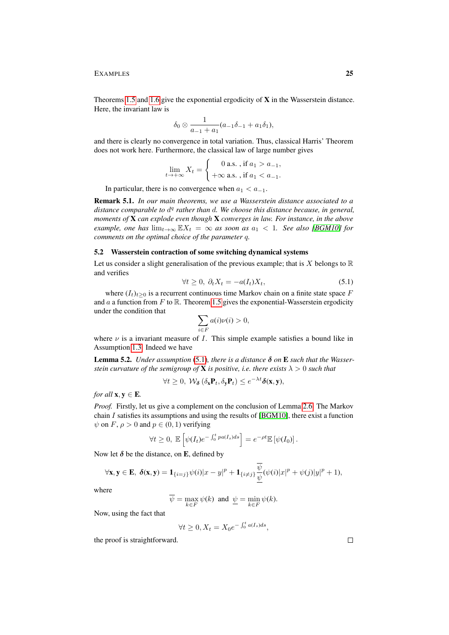Theorems [1.5](#page-4-1) and [1.6](#page-4-2) give the exponential ergodicity of X in the Wasserstein distance. Here, the invariant law is

$$
\delta_0 \otimes \frac{1}{a_{-1} + a_1} (a_{-1} \delta_{-1} + a_1 \delta_1),
$$

and there is clearly no convergence in total variation. Thus, classical Harris' Theorem does not work here. Furthermore, the classical law of large number gives

$$
\lim_{t \to +\infty} X_t = \begin{cases} 0 \text{ a.s. , if } a_1 > a_{-1}, \\ +\infty \text{ a.s. , if } a_1 < a_{-1}. \end{cases}
$$

In particular, there is no convergence when  $a_1 < a_{-1}$ .

Remark 5.1. *In our main theorems, we use a Wasserstein distance associated to a distance comparable to* d q *rather than* d*. We choose this distance because, in general, moments of* X *can explode even though* X *converges in law. For instance, in the above example, one has*  $\lim_{t\to\infty} \mathbb{E}X_t = \infty$  *as soon as*  $a_1 < 1$ *. See also [\[BGM10\]](#page-26-2) for comments on the optimal choice of the parameter* q*.*

## 5.2 Wasserstein contraction of some switching dynamical systems

<span id="page-24-0"></span>Let us consider a slight generalisation of the previous example; that is X belongs to  $\mathbb R$ and verifies

$$
\forall t \ge 0, \ \partial_t X_t = -a(I_t)X_t,\tag{5.1}
$$

where  $(I_t)_{t>0}$  is a recurrent continuous time Markov chain on a finite state space F and a a function from F to R. Theorem [1.5](#page-4-1) gives the exponential-Wasserstein ergodicity under the condition that

$$
\sum_{i \in F} a(i)\nu(i) > 0,
$$

where  $\nu$  is a invariant measure of *I*. This simple example satisfies a bound like in Assumption [1.3.](#page-3-1) Indeed we have

Lemma 5.2. *Under assumption* [\(5.1\)](#page-24-0)*, there is a distance* δ *on* E *such that the Wasserstein curvature of the semigroup of* **X** *is positive, i.e. there exists*  $\lambda > 0$  *such that* 

$$
\forall t \geq 0, \ \mathcal{W}_{\delta} \left( \delta_{\mathbf{x}} \mathbf{P}_t, \delta_{\mathbf{y}} \mathbf{P}_t \right) \leq e^{-\lambda t} \delta(\mathbf{x}, \mathbf{y}),
$$

*for all*  $x, y \in E$ *.* 

*Proof.* Firstly, let us give a complement on the conclusion of Lemma [2.6.](#page-7-0) The Markov chain  $I$  satisfies its assumptions and using the results of [\[BGM10\]](#page-26-2), there exist a function  $\psi$  on F,  $\rho > 0$  and  $p \in (0, 1)$  verifying

$$
\forall t \geq 0, \ \mathbb{E}\left[\psi(I_t)e^{-\int_0^t pa(I_s)ds}\right] = e^{-\rho t}\mathbb{E}\left[\psi(I_0)\right].
$$

Now let  $\delta$  be the distance, on E, defined by

$$
\forall \mathbf{x}, \mathbf{y} \in \mathbf{E}, \ \delta(\mathbf{x}, \mathbf{y}) = \mathbf{1}_{\{i=j\}} \psi(i) |x - y|^p + \mathbf{1}_{\{i \neq j\}} \frac{\psi}{\psi}(\psi(i) |x|^p + \psi(j) |y|^p + 1),
$$

where

$$
\overline{\psi} = \max_{k \in F} \psi(k)
$$
 and  $\underline{\psi} = \min_{k \in F} \psi(k)$ .

Now, using the fact that

$$
\forall t \ge 0, X_t = X_0 e^{-\int_0^t a(I_s)ds},
$$

the proof is straightforward.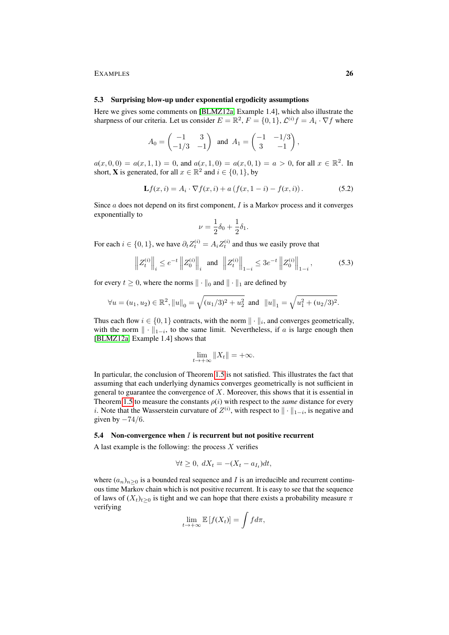#### 5.3 Surprising blow-up under exponential ergodicity assumptions

Here we gives some comments on [\[BLMZ12a,](#page-26-6) Example 1.4], which also illustrate the sharpness of our criteria. Let us consider  $E = \mathbb{R}^2$ ,  $F = \{0, 1\}$ ,  $\mathcal{L}^{(i)}f = A_i \cdot \nabla f$  where

$$
A_0 = \begin{pmatrix} -1 & 3 \\ -1/3 & -1 \end{pmatrix} \text{ and } A_1 = \begin{pmatrix} -1 & -1/3 \\ 3 & -1 \end{pmatrix},
$$

 $a(x, 0, 0) = a(x, 1, 1) = 0$ , and  $a(x, 1, 0) = a(x, 0, 1) = a > 0$ , for all  $x \in \mathbb{R}^2$ . In short, **X** is generated, for all  $x \in \mathbb{R}^2$  and  $i \in \{0, 1\}$ , by

$$
\mathbf{L}f(x,i) = A_i \cdot \nabla f(x,i) + a \left( f(x, 1-i) - f(x,i) \right). \tag{5.2}
$$

Since  $\alpha$  does not depend on its first component,  $I$  is a Markov process and it converges exponentially to

$$
\nu = \frac{1}{2}\delta_0 + \frac{1}{2}\delta_1.
$$

For each  $i \in \{0, 1\}$ , we have  $\partial_t Z_t^{(i)} = A_i Z_t^{(i)}$  and thus we easily prove that

$$
\left\| Z_t^{(i)} \right\|_i \le e^{-t} \left\| Z_0^{(i)} \right\|_i
$$
 and  $\left\| Z_t^{(i)} \right\|_{1-i} \le 3e^{-t} \left\| Z_0^{(i)} \right\|_{1-i},$  (5.3)

for every  $t \geq 0$ , where the norms  $\|\cdot\|_0$  and  $\|\cdot\|_1$  are defined by

$$
\forall u = (u_1, u_2) \in \mathbb{R}^2, ||u||_0 = \sqrt{(u_1/3)^2 + u_2^2} \text{ and } ||u||_1 = \sqrt{u_1^2 + (u_2/3)^2}.
$$

Thus each flow  $i \in \{0, 1\}$  contracts, with the norm  $\|\cdot\|_i$ , and converges geometrically, with the norm  $\|\cdot\|_{1-i}$ , to the same limit. Nevertheless, if a is large enough then [\[BLMZ12a,](#page-26-6) Example 1.4] shows that

$$
\lim_{t \to +\infty} ||X_t|| = +\infty.
$$

In particular, the conclusion of Theorem [1.5](#page-4-1) is not satisfied. This illustrates the fact that assuming that each underlying dynamics converges geometrically is not sufficient in general to guarantee the convergence of  $X$ . Moreover, this shows that it is essential in Theorem [1.5](#page-4-1) to measure the constants  $\rho(i)$  with respect to the *same* distance for every i. Note that the Wasserstein curvature of  $Z^{(i)}$ , with respect to  $\|\cdot\|_{1-i}$ , is negative and given by  $-74/6$ .

#### 5.4 Non-convergence when I is recurrent but not positive recurrent

A last example is the following: the process  $X$  verifies

$$
\forall t \ge 0, \ dX_t = -(X_t - a_{I_t})dt,
$$

where  $(a_n)_{n>0}$  is a bounded real sequence and I is an irreducible and recurrent continuous time Markov chain which is not positive recurrent. It is easy to see that the sequence of laws of  $(X_t)_{t>0}$  is tight and we can hope that there exists a probability measure  $\pi$ verifying

$$
\lim_{t \to +\infty} \mathbb{E}\left[f(X_t)\right] = \int f d\pi,
$$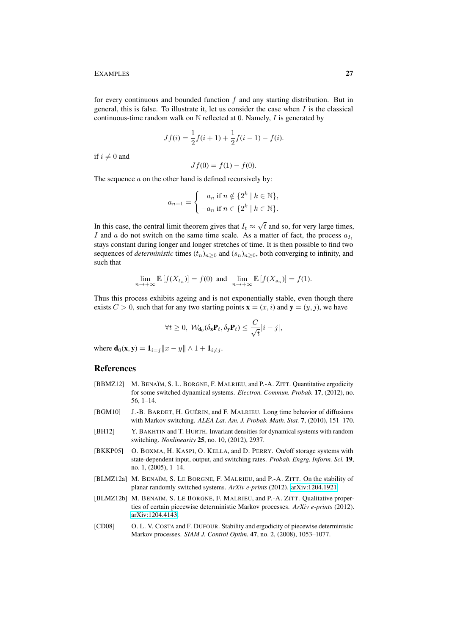for every continuous and bounded function  $f$  and any starting distribution. But in general, this is false. To illustrate it, let us consider the case when  $I$  is the classical continuous-time random walk on  $N$  reflected at 0. Namely,  $I$  is generated by

$$
Jf(i) = \frac{1}{2}f(i+1) + \frac{1}{2}f(i-1) - f(i).
$$

if  $i \neq 0$  and

$$
Jf(0) = f(1) - f(0).
$$

The sequence  $a$  on the other hand is defined recursively by:

$$
a_{n+1} = \begin{cases} a_n \text{ if } n \notin \{2^k \mid k \in \mathbb{N}\}, \\ -a_n \text{ if } n \in \{2^k \mid k \in \mathbb{N}\}. \end{cases}
$$

In this case, the central limit theorem gives that  $I_t \approx$ √  $t$  and so, for very large times, I and a do not switch on the same time scale. As a matter of fact, the process  $a_{I_t}$ stays constant during longer and longer stretches of time. It is then possible to find two sequences of *deterministic* times  $(t_n)_{n>0}$  and  $(s_n)_{n>0}$ , both converging to infinity, and such that

$$
\lim_{n \to +\infty} \mathbb{E}\left[f(X_{t_n})\right] = f(0) \text{ and } \lim_{n \to +\infty} \mathbb{E}\left[f(X_{s_n})\right] = f(1).
$$

Thus this process exhibits ageing and is not exponentially stable, even though there exists  $C > 0$ , such that for any two starting points  $\mathbf{x} = (x, i)$  and  $\mathbf{y} = (y, j)$ , we have

$$
\forall t \geq 0, \ \mathcal{W}_{\mathbf{d}_0}(\delta_{\mathbf{x}} \mathbf{P}_t, \delta_{\mathbf{y}} \mathbf{P}_t) \leq \frac{C}{\sqrt{t}} |i - j|,
$$

where  $\mathbf{d}_0(\mathbf{x}, \mathbf{y}) = \mathbf{1}_{i=1} ||x - y|| \wedge 1 + \mathbf{1}_{i \neq j}$ .

## References

- <span id="page-26-4"></span>[BBMZ12] M. BENAÏM, S. L. BORGNE, F. MALRIEU, and P.-A. ZITT. Quantitative ergodicity for some switched dynamical systems. *Electron. Commun. Probab.* 17, (2012), no. 56, 1–14.
- <span id="page-26-2"></span>[BGM10] J.-B. BARDET, H. GUÉRIN, and F. MALRIEU. Long time behavior of diffusions with Markov switching. *ALEA Lat. Am. J. Probab. Math. Stat.* 7, (2010), 151–170.
- <span id="page-26-1"></span>[BH12] Y. BAKHTIN and T. HURTH. Invariant densities for dynamical systems with random switching. *Nonlinearity* 25, no. 10, (2012), 2937.
- <span id="page-26-0"></span>[BKKP05] O. BOXMA, H. KASPI, O. KELLA, and D. PERRY. On/off storage systems with state-dependent input, output, and switching rates. *Probab. Engrg. Inform. Sci.* 19, no. 1, (2005), 1–14.
- <span id="page-26-6"></span>[BLMZ12a] M. BENAÏM, S. LE BORGNE, F. MALRIEU, and P.-A. ZITT. On the stability of planar randomly switched systems. *ArXiv e-prints* (2012). [arXiv:1204.1921.](http://arxiv.org/abs/1204.1921)
- <span id="page-26-3"></span>[BLMZ12b] M. BENAÏM, S. LE BORGNE, F. MALRIEU, and P.-A. ZITT. Qualitative properties of certain piecewise deterministic Markov processes. *ArXiv e-prints* (2012). [arXiv:1204.4143.](http://arxiv.org/abs/1204.4143)
- <span id="page-26-5"></span>[CD08] O. L. V. COSTA and F. DUFOUR. Stability and ergodicity of piecewise deterministic Markov processes. *SIAM J. Control Optim.* 47, no. 2, (2008), 1053–1077.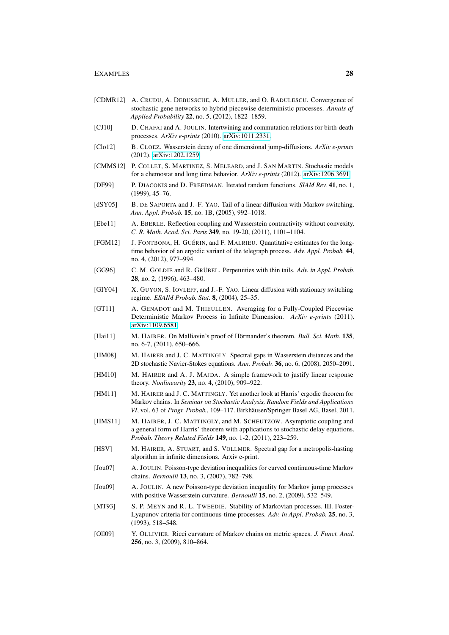- <span id="page-27-1"></span>[CDMR12] A. CRUDU, A. DEBUSSCHE, A. MULLER, and O. RADULESCU. Convergence of stochastic gene networks to hybrid piecewise deterministic processes. *Annals of Applied Probability* 22, no. 5, (2012), 1822–1859.
- <span id="page-27-18"></span>[CJ10] D. CHAFAI and A. JOULIN. Intertwining and commutation relations for birth-death processes. *ArXiv e-prints* (2010). [arXiv:1011.2331.](http://arxiv.org/abs/1011.2331)
- <span id="page-27-11"></span>[Clo12] B. CLOEZ. Wasserstein decay of one dimensional jump-diffusions. *ArXiv e-prints* (2012). [arXiv:1202.1259.](http://arxiv.org/abs/1202.1259)
- <span id="page-27-0"></span>[CMMS12] P. COLLET, S. MARTINEZ, S. MELEARD, and J. SAN MARTIN. Stochastic models for a chemostat and long time behavior. *ArXiv e-prints* (2012). [arXiv:1206.3691.](http://arxiv.org/abs/1206.3691)
- <span id="page-27-4"></span>[DF99] P. DIACONIS and D. FREEDMAN. Iterated random functions. *SIAM Rev.* 41, no. 1, (1999), 45–76.
- <span id="page-27-5"></span>[dSY05] B. DE SAPORTA and J.-F. YAO. Tail of a linear diffusion with Markov switching. *Ann. Appl. Probab.* 15, no. 1B, (2005), 992–1018.
- <span id="page-27-19"></span>[Ebe11] A. EBERLE. Reflection coupling and Wasserstein contractivity without convexity. *C. R. Math. Acad. Sci. Paris* 349, no. 19-20, (2011), 1101–1104.
- <span id="page-27-2"></span>[FGM12] J. FONTBONA, H. GUÉRIN, and F. MALRIEU. Quantitative estimates for the longtime behavior of an ergodic variant of the telegraph process. *Adv. Appl. Probab.* 44, no. 4, (2012), 977–994.
- <span id="page-27-7"></span>[GG96] C. M. GOLDIE and R. GRÜBEL. Perpetuities with thin tails. *Adv. in Appl. Probab.* 28, no. 2, (1996), 463–480.
- <span id="page-27-6"></span>[GIY04] X. GUYON, S. IOVLEFF, and J.-F. YAO. Linear diffusion with stationary switching regime. *ESAIM Probab. Stat.* 8, (2004), 25–35.
- <span id="page-27-3"></span>[GT11] A. GENADOT and M. THIEULLEN. Averaging for a Fully-Coupled Piecewise Deterministic Markov Process in Infinite Dimension. *ArXiv e-prints* (2011). [arXiv:1109.6581.](http://arxiv.org/abs/1109.6581)
- <span id="page-27-20"></span>[Hai11] M. HAIRER. On Malliavin's proof of Hörmander's theorem. *Bull. Sci. Math.* 135, no. 6-7, (2011), 650–666.
- <span id="page-27-15"></span>[HM08] M. HAIRER and J. C. MATTINGLY. Spectral gaps in Wasserstein distances and the 2D stochastic Navier-Stokes equations. *Ann. Probab.* 36, no. 6, (2008), 2050–2091.
- <span id="page-27-17"></span>[HM10] M. HAIRER and A. J. MAJDA. A simple framework to justify linear response theory. *Nonlinearity* 23, no. 4, (2010), 909–922.
- <span id="page-27-13"></span>[HM11] M. HAIRER and J. C. MATTINGLY. Yet another look at Harris' ergodic theorem for Markov chains. In *Seminar on Stochastic Analysis, Random Fields and Applications VI*, vol. 63 of *Progr. Probab.*, 109–117. Birkhäuser/Springer Basel AG, Basel, 2011.
- <span id="page-27-16"></span>[HMS11] M. HAIRER, J. C. MATTINGLY, and M. SCHEUTZOW. Asymptotic coupling and a general form of Harris' theorem with applications to stochastic delay equations. *Probab. Theory Related Fields* 149, no. 1-2, (2011), 223–259.
- <span id="page-27-12"></span>[HSV] M. HAIRER, A. STUART, and S. VOLLMER. Spectral gap for a metropolis-hasting algorithm in infinite dimensions. Arxiv e-print.
- <span id="page-27-8"></span>[Jou07] A. JOULIN. Poisson-type deviation inequalities for curved continuous-time Markov chains. *Bernoulli* 13, no. 3, (2007), 782–798.
- <span id="page-27-9"></span>[Jou09] A. JOULIN. A new Poisson-type deviation inequality for Markov jump processes with positive Wasserstein curvature. *Bernoulli* 15, no. 2, (2009), 532–549.
- <span id="page-27-14"></span>[MT93] S. P. MEYN and R. L. TWEEDIE. Stability of Markovian processes. III. Foster-Lyapunov criteria for continuous-time processes. *Adv. in Appl. Probab.* 25, no. 3, (1993), 518–548.
- <span id="page-27-10"></span>[Oll09] Y. OLLIVIER. Ricci curvature of Markov chains on metric spaces. *J. Funct. Anal.* 256, no. 3, (2009), 810–864.